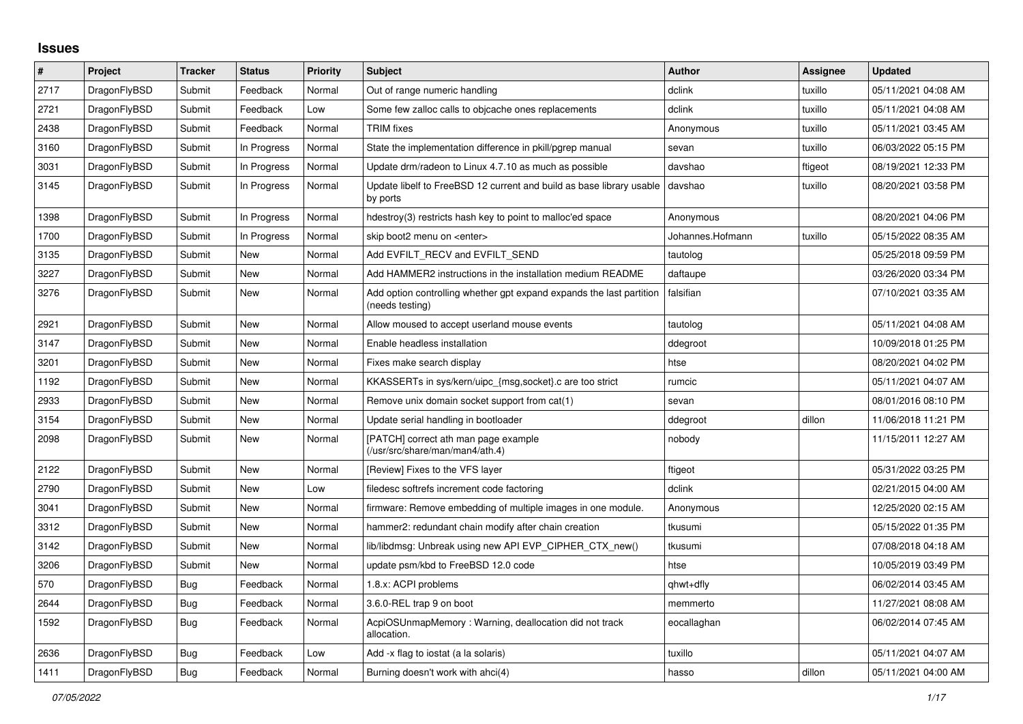## **Issues**

| $\pmb{\sharp}$ | Project      | <b>Tracker</b> | <b>Status</b> | <b>Priority</b> | <b>Subject</b>                                                                          | <b>Author</b>    | <b>Assignee</b> | <b>Updated</b>      |
|----------------|--------------|----------------|---------------|-----------------|-----------------------------------------------------------------------------------------|------------------|-----------------|---------------------|
| 2717           | DragonFlyBSD | Submit         | Feedback      | Normal          | Out of range numeric handling                                                           | dclink           | tuxillo         | 05/11/2021 04:08 AM |
| 2721           | DragonFlyBSD | Submit         | Feedback      | Low             | Some few zalloc calls to objcache ones replacements                                     | dclink           | tuxillo         | 05/11/2021 04:08 AM |
| 2438           | DragonFlyBSD | Submit         | Feedback      | Normal          | TRIM fixes                                                                              | Anonymous        | tuxillo         | 05/11/2021 03:45 AM |
| 3160           | DragonFlyBSD | Submit         | In Progress   | Normal          | State the implementation difference in pkill/pgrep manual                               | sevan            | tuxillo         | 06/03/2022 05:15 PM |
| 3031           | DragonFlyBSD | Submit         | In Progress   | Normal          | Update drm/radeon to Linux 4.7.10 as much as possible                                   | davshao          | ftigeot         | 08/19/2021 12:33 PM |
| 3145           | DragonFlyBSD | Submit         | In Progress   | Normal          | Update libelf to FreeBSD 12 current and build as base library usable<br>by ports        | davshao          | tuxillo         | 08/20/2021 03:58 PM |
| 1398           | DragonFlyBSD | Submit         | In Progress   | Normal          | hdestroy(3) restricts hash key to point to malloc'ed space                              | Anonymous        |                 | 08/20/2021 04:06 PM |
| 1700           | DragonFlyBSD | Submit         | In Progress   | Normal          | skip boot2 menu on <enter></enter>                                                      | Johannes.Hofmann | tuxillo         | 05/15/2022 08:35 AM |
| 3135           | DragonFlyBSD | Submit         | New           | Normal          | Add EVFILT RECV and EVFILT SEND                                                         | tautolog         |                 | 05/25/2018 09:59 PM |
| 3227           | DragonFlyBSD | Submit         | <b>New</b>    | Normal          | Add HAMMER2 instructions in the installation medium README                              | daftaupe         |                 | 03/26/2020 03:34 PM |
| 3276           | DragonFlyBSD | Submit         | New           | Normal          | Add option controlling whether gpt expand expands the last partition<br>(needs testing) | falsifian        |                 | 07/10/2021 03:35 AM |
| 2921           | DragonFlyBSD | Submit         | <b>New</b>    | Normal          | Allow moused to accept userland mouse events                                            | tautolog         |                 | 05/11/2021 04:08 AM |
| 3147           | DragonFlyBSD | Submit         | New           | Normal          | Enable headless installation                                                            | ddegroot         |                 | 10/09/2018 01:25 PM |
| 3201           | DragonFlyBSD | Submit         | <b>New</b>    | Normal          | Fixes make search display                                                               | htse             |                 | 08/20/2021 04:02 PM |
| 1192           | DragonFlyBSD | Submit         | <b>New</b>    | Normal          | KKASSERTs in sys/kern/uipc_{msg,socket}.c are too strict                                | rumcic           |                 | 05/11/2021 04:07 AM |
| 2933           | DragonFlyBSD | Submit         | <b>New</b>    | Normal          | Remove unix domain socket support from cat(1)                                           | sevan            |                 | 08/01/2016 08:10 PM |
| 3154           | DragonFlyBSD | Submit         | <b>New</b>    | Normal          | Update serial handling in bootloader                                                    | ddegroot         | dillon          | 11/06/2018 11:21 PM |
| 2098           | DragonFlyBSD | Submit         | <b>New</b>    | Normal          | [PATCH] correct ath man page example<br>(/usr/src/share/man/man4/ath.4)                 | nobody           |                 | 11/15/2011 12:27 AM |
| 2122           | DragonFlyBSD | Submit         | <b>New</b>    | Normal          | [Review] Fixes to the VFS layer                                                         | ftigeot          |                 | 05/31/2022 03:25 PM |
| 2790           | DragonFlyBSD | Submit         | <b>New</b>    | Low             | filedesc softrefs increment code factoring                                              | dclink           |                 | 02/21/2015 04:00 AM |
| 3041           | DragonFlyBSD | Submit         | <b>New</b>    | Normal          | firmware: Remove embedding of multiple images in one module.                            | Anonymous        |                 | 12/25/2020 02:15 AM |
| 3312           | DragonFlyBSD | Submit         | <b>New</b>    | Normal          | hammer2: redundant chain modify after chain creation                                    | tkusumi          |                 | 05/15/2022 01:35 PM |
| 3142           | DragonFlyBSD | Submit         | <b>New</b>    | Normal          | lib/libdmsg: Unbreak using new API EVP_CIPHER_CTX_new()                                 | tkusumi          |                 | 07/08/2018 04:18 AM |
| 3206           | DragonFlyBSD | Submit         | <b>New</b>    | Normal          | update psm/kbd to FreeBSD 12.0 code                                                     | htse             |                 | 10/05/2019 03:49 PM |
| 570            | DragonFlyBSD | Bug            | Feedback      | Normal          | 1.8.x: ACPI problems                                                                    | qhwt+dfly        |                 | 06/02/2014 03:45 AM |
| 2644           | DragonFlyBSD | Bug            | Feedback      | Normal          | 3.6.0-REL trap 9 on boot                                                                | memmerto         |                 | 11/27/2021 08:08 AM |
| 1592           | DragonFlyBSD | <b>Bug</b>     | Feedback      | Normal          | AcpiOSUnmapMemory: Warning, deallocation did not track<br>allocation.                   | eocallaghan      |                 | 06/02/2014 07:45 AM |
| 2636           | DragonFlyBSD | Bug            | Feedback      | Low             | Add -x flag to iostat (a la solaris)                                                    | tuxillo          |                 | 05/11/2021 04:07 AM |
| 1411           | DragonFlyBSD | Bug            | Feedback      | Normal          | Burning doesn't work with ahci(4)                                                       | hasso            | dillon          | 05/11/2021 04:00 AM |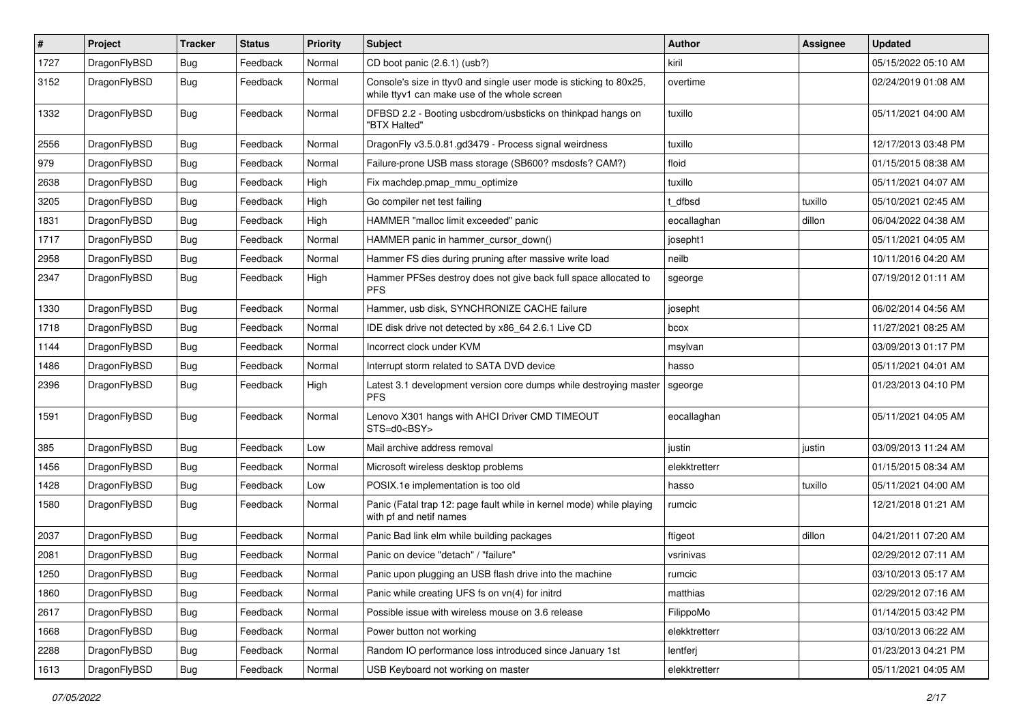| $\sharp$ | Project      | <b>Tracker</b> | <b>Status</b> | <b>Priority</b> | Subject                                                                                                            | Author        | Assignee | <b>Updated</b>      |
|----------|--------------|----------------|---------------|-----------------|--------------------------------------------------------------------------------------------------------------------|---------------|----------|---------------------|
| 1727     | DragonFlyBSD | Bug            | Feedback      | Normal          | CD boot panic (2.6.1) (usb?)                                                                                       | kiril         |          | 05/15/2022 05:10 AM |
| 3152     | DragonFlyBSD | <b>Bug</b>     | Feedback      | Normal          | Console's size in ttyv0 and single user mode is sticking to 80x25,<br>while ttyv1 can make use of the whole screen | overtime      |          | 02/24/2019 01:08 AM |
| 1332     | DragonFlyBSD | Bug            | Feedback      | Normal          | DFBSD 2.2 - Booting usbcdrom/usbsticks on thinkpad hangs on<br>"BTX Halted"                                        | tuxillo       |          | 05/11/2021 04:00 AM |
| 2556     | DragonFlyBSD | Bug            | Feedback      | Normal          | DragonFly v3.5.0.81.gd3479 - Process signal weirdness                                                              | tuxillo       |          | 12/17/2013 03:48 PM |
| 979      | DragonFlyBSD | Bug            | Feedback      | Normal          | Failure-prone USB mass storage (SB600? msdosfs? CAM?)                                                              | floid         |          | 01/15/2015 08:38 AM |
| 2638     | DragonFlyBSD | <b>Bug</b>     | Feedback      | High            | Fix machdep.pmap mmu optimize                                                                                      | tuxillo       |          | 05/11/2021 04:07 AM |
| 3205     | DragonFlyBSD | <b>Bug</b>     | Feedback      | High            | Go compiler net test failing                                                                                       | t dfbsd       | tuxillo  | 05/10/2021 02:45 AM |
| 1831     | DragonFlyBSD | <b>Bug</b>     | Feedback      | High            | HAMMER "malloc limit exceeded" panic                                                                               | eocallaghan   | dillon   | 06/04/2022 04:38 AM |
| 1717     | DragonFlyBSD | <b>Bug</b>     | Feedback      | Normal          | HAMMER panic in hammer cursor down()                                                                               | josepht1      |          | 05/11/2021 04:05 AM |
| 2958     | DragonFlyBSD | <b>Bug</b>     | Feedback      | Normal          | Hammer FS dies during pruning after massive write load                                                             | neilb         |          | 10/11/2016 04:20 AM |
| 2347     | DragonFlyBSD | <b>Bug</b>     | Feedback      | High            | Hammer PFSes destroy does not give back full space allocated to<br><b>PFS</b>                                      | sgeorge       |          | 07/19/2012 01:11 AM |
| 1330     | DragonFlyBSD | <b>Bug</b>     | Feedback      | Normal          | Hammer, usb disk, SYNCHRONIZE CACHE failure                                                                        | josepht       |          | 06/02/2014 04:56 AM |
| 1718     | DragonFlyBSD | <b>Bug</b>     | Feedback      | Normal          | IDE disk drive not detected by x86 64 2.6.1 Live CD                                                                | bcox          |          | 11/27/2021 08:25 AM |
| 1144     | DragonFlyBSD | <b>Bug</b>     | Feedback      | Normal          | Incorrect clock under KVM                                                                                          | msylvan       |          | 03/09/2013 01:17 PM |
| 1486     | DragonFlyBSD | <b>Bug</b>     | Feedback      | Normal          | Interrupt storm related to SATA DVD device                                                                         | hasso         |          | 05/11/2021 04:01 AM |
| 2396     | DragonFlyBSD | <b>Bug</b>     | Feedback      | High            | Latest 3.1 development version core dumps while destroying master<br><b>PFS</b>                                    | sgeorge       |          | 01/23/2013 04:10 PM |
| 1591     | DragonFlyBSD | <b>Bug</b>     | Feedback      | Normal          | Lenovo X301 hangs with AHCI Driver CMD TIMEOUT<br>STS=d0 <bsy></bsy>                                               | eocallaghan   |          | 05/11/2021 04:05 AM |
| 385      | DragonFlyBSD | <b>Bug</b>     | Feedback      | Low             | Mail archive address removal                                                                                       | justin        | justin   | 03/09/2013 11:24 AM |
| 1456     | DragonFlyBSD | Bug            | Feedback      | Normal          | Microsoft wireless desktop problems                                                                                | elekktretterr |          | 01/15/2015 08:34 AM |
| 1428     | DragonFlyBSD | <b>Bug</b>     | Feedback      | Low             | POSIX.1e implementation is too old                                                                                 | hasso         | tuxillo  | 05/11/2021 04:00 AM |
| 1580     | DragonFlyBSD | <b>Bug</b>     | Feedback      | Normal          | Panic (Fatal trap 12: page fault while in kernel mode) while playing<br>with pf and netif names                    | rumcic        |          | 12/21/2018 01:21 AM |
| 2037     | DragonFlyBSD | <b>Bug</b>     | Feedback      | Normal          | Panic Bad link elm while building packages                                                                         | ftigeot       | dillon   | 04/21/2011 07:20 AM |
| 2081     | DragonFlyBSD | <b>Bug</b>     | Feedback      | Normal          | Panic on device "detach" / "failure"                                                                               | vsrinivas     |          | 02/29/2012 07:11 AM |
| 1250     | DragonFlyBSD | <b>Bug</b>     | Feedback      | Normal          | Panic upon plugging an USB flash drive into the machine                                                            | rumcic        |          | 03/10/2013 05:17 AM |
| 1860     | DragonFlyBSD | <b>Bug</b>     | Feedback      | Normal          | Panic while creating UFS fs on vn(4) for initrd                                                                    | matthias      |          | 02/29/2012 07:16 AM |
| 2617     | DragonFlyBSD | <b>Bug</b>     | Feedback      | Normal          | Possible issue with wireless mouse on 3.6 release                                                                  | FilippoMo     |          | 01/14/2015 03:42 PM |
| 1668     | DragonFlyBSD | <b>Bug</b>     | Feedback      | Normal          | Power button not working                                                                                           | elekktretterr |          | 03/10/2013 06:22 AM |
| 2288     | DragonFlyBSD | <b>Bug</b>     | Feedback      | Normal          | Random IO performance loss introduced since January 1st                                                            | lentferj      |          | 01/23/2013 04:21 PM |
| 1613     | DragonFlyBSD | <b>Bug</b>     | Feedback      | Normal          | USB Keyboard not working on master                                                                                 | elekktretterr |          | 05/11/2021 04:05 AM |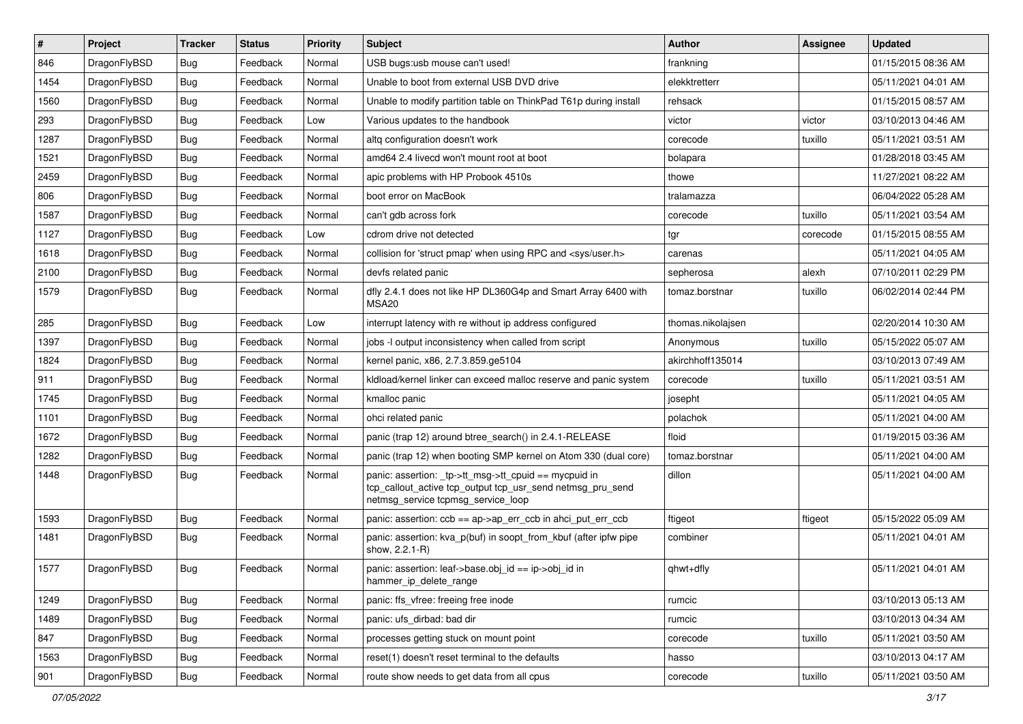| $\pmb{\#}$ | Project      | <b>Tracker</b> | <b>Status</b> | <b>Priority</b> | Subject                                                                                                                                                   | <b>Author</b>     | <b>Assignee</b> | <b>Updated</b>      |
|------------|--------------|----------------|---------------|-----------------|-----------------------------------------------------------------------------------------------------------------------------------------------------------|-------------------|-----------------|---------------------|
| 846        | DragonFlyBSD | Bug            | Feedback      | Normal          | USB bugs:usb mouse can't used!                                                                                                                            | frankning         |                 | 01/15/2015 08:36 AM |
| 1454       | DragonFlyBSD | Bug            | Feedback      | Normal          | Unable to boot from external USB DVD drive                                                                                                                | elekktretterr     |                 | 05/11/2021 04:01 AM |
| 1560       | DragonFlyBSD | Bug            | Feedback      | Normal          | Unable to modify partition table on ThinkPad T61p during install                                                                                          | rehsack           |                 | 01/15/2015 08:57 AM |
| 293        | DragonFlyBSD | Bug            | Feedback      | Low             | Various updates to the handbook                                                                                                                           | victor            | victor          | 03/10/2013 04:46 AM |
| 1287       | DragonFlyBSD | Bug            | Feedback      | Normal          | altg configuration doesn't work                                                                                                                           | corecode          | tuxillo         | 05/11/2021 03:51 AM |
| 1521       | DragonFlyBSD | Bug            | Feedback      | Normal          | amd64 2.4 livecd won't mount root at boot                                                                                                                 | bolapara          |                 | 01/28/2018 03:45 AM |
| 2459       | DragonFlyBSD | Bug            | Feedback      | Normal          | apic problems with HP Probook 4510s                                                                                                                       | thowe             |                 | 11/27/2021 08:22 AM |
| 806        | DragonFlyBSD | Bug            | Feedback      | Normal          | boot error on MacBook                                                                                                                                     | tralamazza        |                 | 06/04/2022 05:28 AM |
| 1587       | DragonFlyBSD | Bug            | Feedback      | Normal          | can't gdb across fork                                                                                                                                     | corecode          | tuxillo         | 05/11/2021 03:54 AM |
| 1127       | DragonFlyBSD | Bug            | Feedback      | Low             | cdrom drive not detected                                                                                                                                  | tgr               | corecode        | 01/15/2015 08:55 AM |
| 1618       | DragonFlyBSD | Bug            | Feedback      | Normal          | collision for 'struct pmap' when using RPC and <sys user.h=""></sys>                                                                                      | carenas           |                 | 05/11/2021 04:05 AM |
| 2100       | DragonFlyBSD | Bug            | Feedback      | Normal          | devfs related panic                                                                                                                                       | sepherosa         | alexh           | 07/10/2011 02:29 PM |
| 1579       | DragonFlyBSD | Bug            | Feedback      | Normal          | dfly 2.4.1 does not like HP DL360G4p and Smart Array 6400 with<br>MSA <sub>20</sub>                                                                       | tomaz.borstnar    | tuxillo         | 06/02/2014 02:44 PM |
| 285        | DragonFlyBSD | Bug            | Feedback      | Low             | interrupt latency with re without ip address configured                                                                                                   | thomas.nikolajsen |                 | 02/20/2014 10:30 AM |
| 1397       | DragonFlyBSD | Bug            | Feedback      | Normal          | jobs -I output inconsistency when called from script                                                                                                      | Anonymous         | tuxillo         | 05/15/2022 05:07 AM |
| 1824       | DragonFlyBSD | <b>Bug</b>     | Feedback      | Normal          | kernel panic, x86, 2.7.3.859.ge5104                                                                                                                       | akirchhoff135014  |                 | 03/10/2013 07:49 AM |
| 911        | DragonFlyBSD | Bug            | Feedback      | Normal          | kldload/kernel linker can exceed malloc reserve and panic system                                                                                          | corecode          | tuxillo         | 05/11/2021 03:51 AM |
| 1745       | DragonFlyBSD | Bug            | Feedback      | Normal          | kmalloc panic                                                                                                                                             | josepht           |                 | 05/11/2021 04:05 AM |
| 1101       | DragonFlyBSD | Bug            | Feedback      | Normal          | ohci related panic                                                                                                                                        | polachok          |                 | 05/11/2021 04:00 AM |
| 1672       | DragonFlyBSD | Bug            | Feedback      | Normal          | panic (trap 12) around btree search() in 2.4.1-RELEASE                                                                                                    | floid             |                 | 01/19/2015 03:36 AM |
| 1282       | DragonFlyBSD | Bug            | Feedback      | Normal          | panic (trap 12) when booting SMP kernel on Atom 330 (dual core)                                                                                           | tomaz.borstnar    |                 | 05/11/2021 04:00 AM |
| 1448       | DragonFlyBSD | Bug            | Feedback      | Normal          | panic: assertion: _tp->tt_msg->tt_cpuid == mycpuid in<br>tcp_callout_active tcp_output tcp_usr_send netmsg_pru_send<br>netmsg_service tcpmsg_service_loop | dillon            |                 | 05/11/2021 04:00 AM |
| 1593       | DragonFlyBSD | Bug            | Feedback      | Normal          | panic: assertion: ccb == ap->ap_err_ccb in ahci_put_err_ccb                                                                                               | ftigeot           | ftigeot         | 05/15/2022 05:09 AM |
| 1481       | DragonFlyBSD | Bug            | Feedback      | Normal          | panic: assertion: kva_p(buf) in soopt_from_kbuf (after ipfw pipe<br>show, 2.2.1-R)                                                                        | combiner          |                 | 05/11/2021 04:01 AM |
| 1577       | DragonFlyBSD | Bug            | Feedback      | Normal          | panic: assertion: leaf->base.obj_id == ip->obj_id in<br>hammer_ip_delete_range                                                                            | qhwt+dfly         |                 | 05/11/2021 04:01 AM |
| 1249       | DragonFlyBSD | <b>Bug</b>     | Feedback      | Normal          | panic: ffs_vfree: freeing free inode                                                                                                                      | rumcic            |                 | 03/10/2013 05:13 AM |
| 1489       | DragonFlyBSD | <b>Bug</b>     | Feedback      | Normal          | panic: ufs dirbad: bad dir                                                                                                                                | rumcic            |                 | 03/10/2013 04:34 AM |
| 847        | DragonFlyBSD | <b>Bug</b>     | Feedback      | Normal          | processes getting stuck on mount point                                                                                                                    | corecode          | tuxillo         | 05/11/2021 03:50 AM |
| 1563       | DragonFlyBSD | <b>Bug</b>     | Feedback      | Normal          | reset(1) doesn't reset terminal to the defaults                                                                                                           | hasso             |                 | 03/10/2013 04:17 AM |
| 901        | DragonFlyBSD | Bug            | Feedback      | Normal          | route show needs to get data from all cpus                                                                                                                | corecode          | tuxillo         | 05/11/2021 03:50 AM |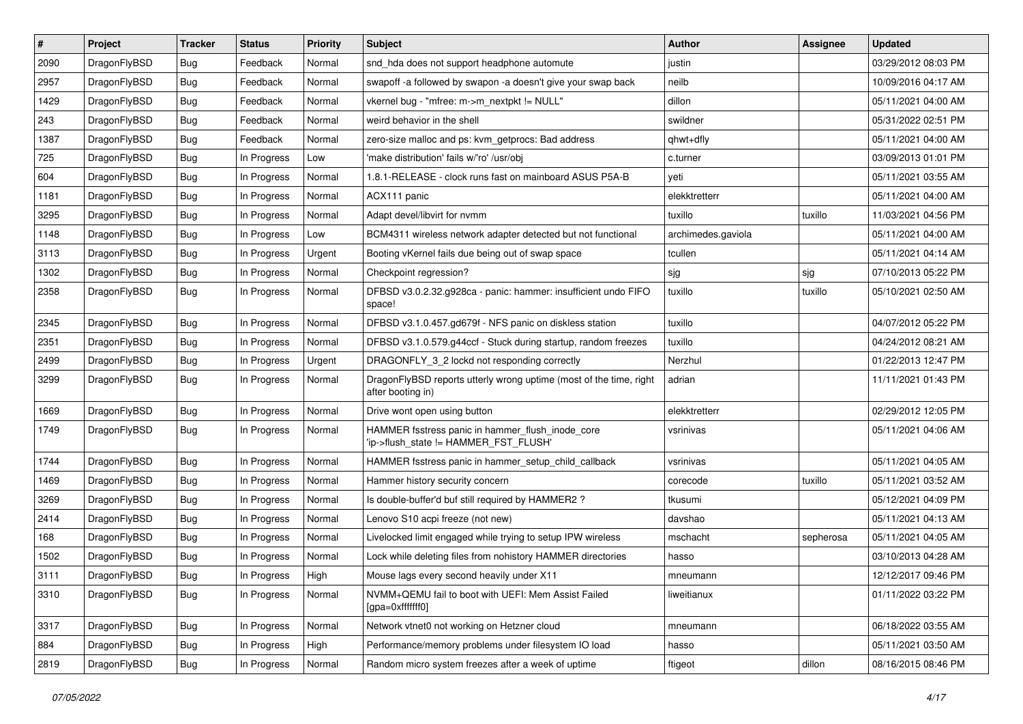| $\sharp$ | Project      | <b>Tracker</b> | <b>Status</b> | <b>Priority</b> | Subject                                                                                   | Author             | Assignee  | <b>Updated</b>      |
|----------|--------------|----------------|---------------|-----------------|-------------------------------------------------------------------------------------------|--------------------|-----------|---------------------|
| 2090     | DragonFlyBSD | <b>Bug</b>     | Feedback      | Normal          | snd_hda does not support headphone automute                                               | justin             |           | 03/29/2012 08:03 PM |
| 2957     | DragonFlyBSD | Bug            | Feedback      | Normal          | swapoff -a followed by swapon -a doesn't give your swap back                              | neilb              |           | 10/09/2016 04:17 AM |
| 1429     | DragonFlyBSD | <b>Bug</b>     | Feedback      | Normal          | vkernel bug - "mfree: m->m_nextpkt != NULL"                                               | dillon             |           | 05/11/2021 04:00 AM |
| 243      | DragonFlyBSD | Bug            | Feedback      | Normal          | weird behavior in the shell                                                               | swildner           |           | 05/31/2022 02:51 PM |
| 1387     | DragonFlyBSD | <b>Bug</b>     | Feedback      | Normal          | zero-size malloc and ps: kvm_getprocs: Bad address                                        | qhwt+dfly          |           | 05/11/2021 04:00 AM |
| 725      | DragonFlyBSD | <b>Bug</b>     | In Progress   | Low             | 'make distribution' fails w/'ro' /usr/obj                                                 | c.turner           |           | 03/09/2013 01:01 PM |
| 604      | DragonFlyBSD | <b>Bug</b>     | In Progress   | Normal          | 1.8.1-RELEASE - clock runs fast on mainboard ASUS P5A-B                                   | yeti               |           | 05/11/2021 03:55 AM |
| 1181     | DragonFlyBSD | <b>Bug</b>     | In Progress   | Normal          | ACX111 panic                                                                              | elekktretterr      |           | 05/11/2021 04:00 AM |
| 3295     | DragonFlyBSD | Bug            | In Progress   | Normal          | Adapt devel/libvirt for nvmm                                                              | tuxillo            | tuxillo   | 11/03/2021 04:56 PM |
| 1148     | DragonFlyBSD | Bug            | In Progress   | Low             | BCM4311 wireless network adapter detected but not functional                              | archimedes.gaviola |           | 05/11/2021 04:00 AM |
| 3113     | DragonFlyBSD | <b>Bug</b>     | In Progress   | Urgent          | Booting vKernel fails due being out of swap space                                         | tcullen            |           | 05/11/2021 04:14 AM |
| 1302     | DragonFlyBSD | <b>Bug</b>     | In Progress   | Normal          | Checkpoint regression?                                                                    | sjg                | sjg       | 07/10/2013 05:22 PM |
| 2358     | DragonFlyBSD | <b>Bug</b>     | In Progress   | Normal          | DFBSD v3.0.2.32.g928ca - panic: hammer: insufficient undo FIFO<br>space!                  | tuxillo            | tuxillo   | 05/10/2021 02:50 AM |
| 2345     | DragonFlyBSD | Bug            | In Progress   | Normal          | DFBSD v3.1.0.457.gd679f - NFS panic on diskless station                                   | tuxillo            |           | 04/07/2012 05:22 PM |
| 2351     | DragonFlyBSD | <b>Bug</b>     | In Progress   | Normal          | DFBSD v3.1.0.579.g44ccf - Stuck during startup, random freezes                            | tuxillo            |           | 04/24/2012 08:21 AM |
| 2499     | DragonFlyBSD | <b>Bug</b>     | In Progress   | Urgent          | DRAGONFLY_3_2 lockd not responding correctly                                              | Nerzhul            |           | 01/22/2013 12:47 PM |
| 3299     | DragonFlyBSD | Bug            | In Progress   | Normal          | DragonFlyBSD reports utterly wrong uptime (most of the time, right<br>after booting in)   | adrian             |           | 11/11/2021 01:43 PM |
| 1669     | DragonFlyBSD | Bug            | In Progress   | Normal          | Drive wont open using button                                                              | elekktretterr      |           | 02/29/2012 12:05 PM |
| 1749     | DragonFlyBSD | <b>Bug</b>     | In Progress   | Normal          | HAMMER fsstress panic in hammer_flush_inode_core<br>'ip->flush_state != HAMMER_FST_FLUSH' | vsrinivas          |           | 05/11/2021 04:06 AM |
| 1744     | DragonFlyBSD | Bug            | In Progress   | Normal          | HAMMER fsstress panic in hammer_setup_child_callback                                      | vsrinivas          |           | 05/11/2021 04:05 AM |
| 1469     | DragonFlyBSD | Bug            | In Progress   | Normal          | Hammer history security concern                                                           | corecode           | tuxillo   | 05/11/2021 03:52 AM |
| 3269     | DragonFlyBSD | <b>Bug</b>     | In Progress   | Normal          | Is double-buffer'd buf still required by HAMMER2 ?                                        | tkusumi            |           | 05/12/2021 04:09 PM |
| 2414     | DragonFlyBSD | <b>Bug</b>     | In Progress   | Normal          | Lenovo S10 acpi freeze (not new)                                                          | davshao            |           | 05/11/2021 04:13 AM |
| 168      | DragonFlyBSD | <b>Bug</b>     | In Progress   | Normal          | Livelocked limit engaged while trying to setup IPW wireless                               | mschacht           | sepherosa | 05/11/2021 04:05 AM |
| 1502     | DragonFlyBSD | <b>Bug</b>     | In Progress   | Normal          | Lock while deleting files from nohistory HAMMER directories                               | hasso              |           | 03/10/2013 04:28 AM |
| 3111     | DragonFlyBSD | Bug            | In Progress   | High            | Mouse lags every second heavily under X11                                                 | mneumann           |           | 12/12/2017 09:46 PM |
| 3310     | DragonFlyBSD | <b>Bug</b>     | In Progress   | Normal          | NVMM+QEMU fail to boot with UEFI: Mem Assist Failed<br>[gpa=0xfffffff0]                   | liweitianux        |           | 01/11/2022 03:22 PM |
| 3317     | DragonFlyBSD | Bug            | In Progress   | Normal          | Network vtnet0 not working on Hetzner cloud                                               | mneumann           |           | 06/18/2022 03:55 AM |
| 884      | DragonFlyBSD | <b>Bug</b>     | In Progress   | High            | Performance/memory problems under filesystem IO load                                      | hasso              |           | 05/11/2021 03:50 AM |
| 2819     | DragonFlyBSD | <b>Bug</b>     | In Progress   | Normal          | Random micro system freezes after a week of uptime                                        | ftigeot            | dillon    | 08/16/2015 08:46 PM |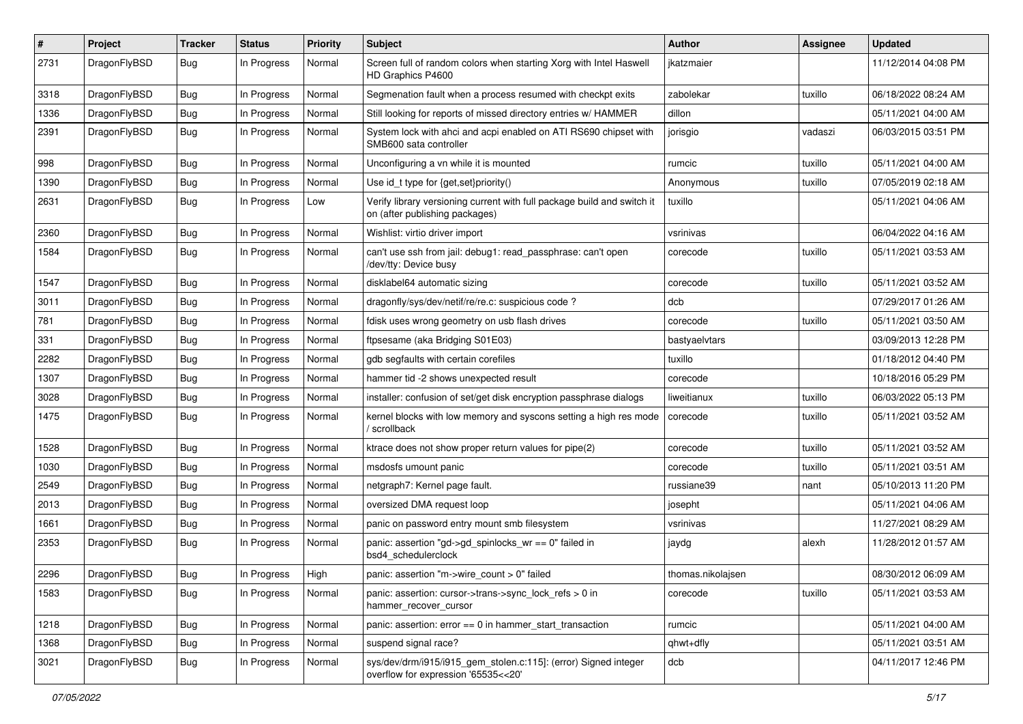| $\#$ | Project      | <b>Tracker</b> | <b>Status</b> | <b>Priority</b> | Subject                                                                                                   | Author            | Assignee | <b>Updated</b>      |
|------|--------------|----------------|---------------|-----------------|-----------------------------------------------------------------------------------------------------------|-------------------|----------|---------------------|
| 2731 | DragonFlyBSD | <b>Bug</b>     | In Progress   | Normal          | Screen full of random colors when starting Xorg with Intel Haswell<br>HD Graphics P4600                   | jkatzmaier        |          | 11/12/2014 04:08 PM |
| 3318 | DragonFlyBSD | <b>Bug</b>     | In Progress   | Normal          | Segmenation fault when a process resumed with checkpt exits                                               | zabolekar         | tuxillo  | 06/18/2022 08:24 AM |
| 1336 | DragonFlyBSD | <b>Bug</b>     | In Progress   | Normal          | Still looking for reports of missed directory entries w/ HAMMER                                           | dillon            |          | 05/11/2021 04:00 AM |
| 2391 | DragonFlyBSD | Bug            | In Progress   | Normal          | System lock with ahci and acpi enabled on ATI RS690 chipset with<br>SMB600 sata controller                | jorisgio          | vadaszi  | 06/03/2015 03:51 PM |
| 998  | DragonFlyBSD | Bug            | In Progress   | Normal          | Unconfiguring a vn while it is mounted                                                                    | rumcic            | tuxillo  | 05/11/2021 04:00 AM |
| 1390 | DragonFlyBSD | Bug            | In Progress   | Normal          | Use id_t type for {get,set}priority()                                                                     | Anonymous         | tuxillo  | 07/05/2019 02:18 AM |
| 2631 | DragonFlyBSD | Bug            | In Progress   | Low             | Verify library versioning current with full package build and switch it<br>on (after publishing packages) | tuxillo           |          | 05/11/2021 04:06 AM |
| 2360 | DragonFlyBSD | <b>Bug</b>     | In Progress   | Normal          | Wishlist: virtio driver import                                                                            | vsrinivas         |          | 06/04/2022 04:16 AM |
| 1584 | DragonFlyBSD | Bug            | In Progress   | Normal          | can't use ssh from jail: debug1: read_passphrase: can't open<br>/dev/tty: Device busy                     | corecode          | tuxillo  | 05/11/2021 03:53 AM |
| 1547 | DragonFlyBSD | Bug            | In Progress   | Normal          | disklabel64 automatic sizing                                                                              | corecode          | tuxillo  | 05/11/2021 03:52 AM |
| 3011 | DragonFlyBSD | Bug            | In Progress   | Normal          | dragonfly/sys/dev/netif/re/re.c: suspicious code?                                                         | dcb               |          | 07/29/2017 01:26 AM |
| 781  | DragonFlyBSD | Bug            | In Progress   | Normal          | fdisk uses wrong geometry on usb flash drives                                                             | corecode          | tuxillo  | 05/11/2021 03:50 AM |
| 331  | DragonFlyBSD | Bug            | In Progress   | Normal          | ftpsesame (aka Bridging S01E03)                                                                           | bastyaelvtars     |          | 03/09/2013 12:28 PM |
| 2282 | DragonFlyBSD | <b>Bug</b>     | In Progress   | Normal          | gdb segfaults with certain corefiles                                                                      | tuxillo           |          | 01/18/2012 04:40 PM |
| 1307 | DragonFlyBSD | <b>Bug</b>     | In Progress   | Normal          | hammer tid -2 shows unexpected result                                                                     | corecode          |          | 10/18/2016 05:29 PM |
| 3028 | DragonFlyBSD | <b>Bug</b>     | In Progress   | Normal          | installer: confusion of set/get disk encryption passphrase dialogs                                        | liweitianux       | tuxillo  | 06/03/2022 05:13 PM |
| 1475 | DragonFlyBSD | Bug            | In Progress   | Normal          | kernel blocks with low memory and syscons setting a high res mode<br>/ scrollback                         | corecode          | tuxillo  | 05/11/2021 03:52 AM |
| 1528 | DragonFlyBSD | Bug            | In Progress   | Normal          | ktrace does not show proper return values for pipe(2)                                                     | corecode          | tuxillo  | 05/11/2021 03:52 AM |
| 1030 | DragonFlyBSD | Bug            | In Progress   | Normal          | msdosfs umount panic                                                                                      | corecode          | tuxillo  | 05/11/2021 03:51 AM |
| 2549 | DragonFlyBSD | <b>Bug</b>     | In Progress   | Normal          | netgraph7: Kernel page fault.                                                                             | russiane39        | nant     | 05/10/2013 11:20 PM |
| 2013 | DragonFlyBSD | <b>Bug</b>     | In Progress   | Normal          | oversized DMA request loop                                                                                | josepht           |          | 05/11/2021 04:06 AM |
| 1661 | DragonFlyBSD | Bug            | In Progress   | Normal          | panic on password entry mount smb filesystem                                                              | vsrinivas         |          | 11/27/2021 08:29 AM |
| 2353 | DragonFlyBSD | <b>Bug</b>     | In Progress   | Normal          | panic: assertion "gd->gd_spinlocks_wr == 0" failed in<br>bsd4_schedulerclock                              | jaydg             | alexh    | 11/28/2012 01:57 AM |
| 2296 | DragonFlyBSD | Bug            | In Progress   | High            | panic: assertion "m->wire count > 0" failed                                                               | thomas.nikolajsen |          | 08/30/2012 06:09 AM |
| 1583 | DragonFlyBSD | Bug            | In Progress   | Normal          | panic: assertion: cursor->trans->sync_lock_refs > 0 in<br>hammer recover cursor                           | corecode          | tuxillo  | 05/11/2021 03:53 AM |
| 1218 | DragonFlyBSD | <b>Bug</b>     | In Progress   | Normal          | panic: assertion: error == 0 in hammer_start_transaction                                                  | rumcic            |          | 05/11/2021 04:00 AM |
| 1368 | DragonFlyBSD | <b>Bug</b>     | In Progress   | Normal          | suspend signal race?                                                                                      | qhwt+dfly         |          | 05/11/2021 03:51 AM |
| 3021 | DragonFlyBSD | <b>Bug</b>     | In Progress   | Normal          | sys/dev/drm/i915/i915_gem_stolen.c:115]: (error) Signed integer<br>overflow for expression '65535<<20'    | dcb               |          | 04/11/2017 12:46 PM |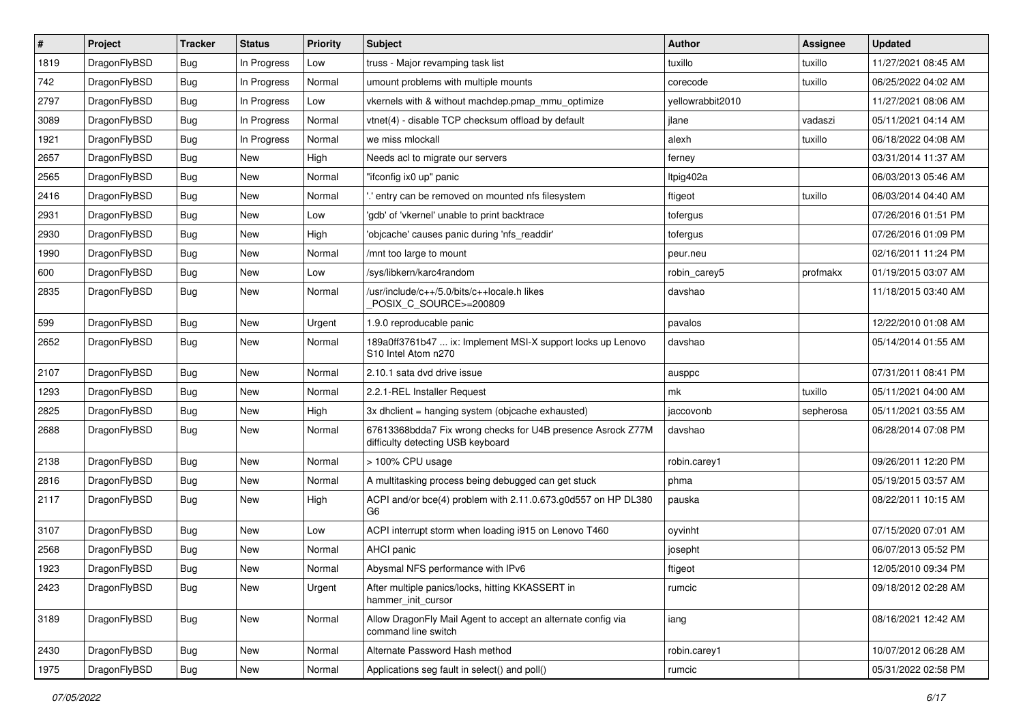| $\sharp$ | Project      | <b>Tracker</b> | <b>Status</b> | <b>Priority</b> | Subject                                                                                                    | <b>Author</b>    | Assignee  | <b>Updated</b>      |
|----------|--------------|----------------|---------------|-----------------|------------------------------------------------------------------------------------------------------------|------------------|-----------|---------------------|
| 1819     | DragonFlyBSD | <b>Bug</b>     | In Progress   | Low             | truss - Major revamping task list                                                                          | tuxillo          | tuxillo   | 11/27/2021 08:45 AM |
| 742      | DragonFlyBSD | <b>Bug</b>     | In Progress   | Normal          | umount problems with multiple mounts                                                                       | corecode         | tuxillo   | 06/25/2022 04:02 AM |
| 2797     | DragonFlyBSD | <b>Bug</b>     | In Progress   | Low             | vkernels with & without machdep.pmap_mmu_optimize                                                          | yellowrabbit2010 |           | 11/27/2021 08:06 AM |
| 3089     | DragonFlyBSD | Bug            | In Progress   | Normal          | vtnet(4) - disable TCP checksum offload by default                                                         | jlane            | vadaszi   | 05/11/2021 04:14 AM |
| 1921     | DragonFlyBSD | <b>Bug</b>     | In Progress   | Normal          | we miss mlockall                                                                                           | alexh            | tuxillo   | 06/18/2022 04:08 AM |
| 2657     | DragonFlyBSD | <b>Bug</b>     | <b>New</b>    | High            | Needs acl to migrate our servers                                                                           | ferney           |           | 03/31/2014 11:37 AM |
| 2565     | DragonFlyBSD | <b>Bug</b>     | New           | Normal          | "ifconfig ix0 up" panic                                                                                    | Itpig402a        |           | 06/03/2013 05:46 AM |
| 2416     | DragonFlyBSD | <b>Bug</b>     | <b>New</b>    | Normal          | ".' entry can be removed on mounted nfs filesystem                                                         | ftigeot          | tuxillo   | 06/03/2014 04:40 AM |
| 2931     | DragonFlyBSD | <b>Bug</b>     | New           | Low             | 'gdb' of 'vkernel' unable to print backtrace                                                               | tofergus         |           | 07/26/2016 01:51 PM |
| 2930     | DragonFlyBSD | <b>Bug</b>     | <b>New</b>    | High            | 'objcache' causes panic during 'nfs_readdir'                                                               | tofergus         |           | 07/26/2016 01:09 PM |
| 1990     | DragonFlyBSD | <b>Bug</b>     | New           | Normal          | /mnt too large to mount                                                                                    | peur.neu         |           | 02/16/2011 11:24 PM |
| 600      | DragonFlyBSD | <b>Bug</b>     | New           | Low             | /sys/libkern/karc4random                                                                                   | robin_carey5     | profmakx  | 01/19/2015 03:07 AM |
| 2835     | DragonFlyBSD | <b>Bug</b>     | <b>New</b>    | Normal          | /usr/include/c++/5.0/bits/c++locale.h likes<br>POSIX_C_SOURCE>=200809                                      | davshao          |           | 11/18/2015 03:40 AM |
| 599      | DragonFlyBSD | <b>Bug</b>     | New           | Urgent          | 1.9.0 reproducable panic                                                                                   | pavalos          |           | 12/22/2010 01:08 AM |
| 2652     | DragonFlyBSD | <b>Bug</b>     | <b>New</b>    | Normal          | 189a0ff3761b47  ix: Implement MSI-X support locks up Lenovo<br>S <sub>10</sub> Intel Atom n <sub>270</sub> | davshao          |           | 05/14/2014 01:55 AM |
| 2107     | DragonFlyBSD | <b>Bug</b>     | <b>New</b>    | Normal          | 2.10.1 sata dvd drive issue                                                                                | ausppc           |           | 07/31/2011 08:41 PM |
| 1293     | DragonFlyBSD | <b>Bug</b>     | New           | Normal          | 2.2.1-REL Installer Request                                                                                | mk               | tuxillo   | 05/11/2021 04:00 AM |
| 2825     | DragonFlyBSD | <b>Bug</b>     | New           | High            | 3x dhclient = hanging system (objcache exhausted)                                                          | jaccovonb        | sepherosa | 05/11/2021 03:55 AM |
| 2688     | DragonFlyBSD | Bug            | <b>New</b>    | Normal          | 67613368bdda7 Fix wrong checks for U4B presence Asrock Z77M<br>difficulty detecting USB keyboard           | davshao          |           | 06/28/2014 07:08 PM |
| 2138     | DragonFlyBSD | Bug            | <b>New</b>    | Normal          | > 100% CPU usage                                                                                           | robin.carey1     |           | 09/26/2011 12:20 PM |
| 2816     | DragonFlyBSD | Bug            | <b>New</b>    | Normal          | A multitasking process being debugged can get stuck                                                        | phma             |           | 05/19/2015 03:57 AM |
| 2117     | DragonFlyBSD | Bug            | New           | High            | ACPI and/or bce(4) problem with 2.11.0.673.g0d557 on HP DL380<br>G6                                        | pauska           |           | 08/22/2011 10:15 AM |
| 3107     | DragonFlyBSD | Bug            | New           | Low             | ACPI interrupt storm when loading i915 on Lenovo T460                                                      | oyvinht          |           | 07/15/2020 07:01 AM |
| 2568     | DragonFlyBSD | Bug            | <b>New</b>    | Normal          | AHCI panic                                                                                                 | josepht          |           | 06/07/2013 05:52 PM |
| 1923     | DragonFlyBSD | <b>Bug</b>     | New           | Normal          | Abysmal NFS performance with IPv6                                                                          | ftigeot          |           | 12/05/2010 09:34 PM |
| 2423     | DragonFlyBSD | <b>Bug</b>     | New           | Urgent          | After multiple panics/locks, hitting KKASSERT in<br>hammer init cursor                                     | rumcic           |           | 09/18/2012 02:28 AM |
| 3189     | DragonFlyBSD | <b>Bug</b>     | New           | Normal          | Allow DragonFly Mail Agent to accept an alternate config via<br>command line switch                        | iang             |           | 08/16/2021 12:42 AM |
| 2430     | DragonFlyBSD | <b>Bug</b>     | <b>New</b>    | Normal          | Alternate Password Hash method                                                                             | robin.carey1     |           | 10/07/2012 06:28 AM |
| 1975     | DragonFlyBSD | <b>Bug</b>     | New           | Normal          | Applications seg fault in select() and poll()                                                              | rumcic           |           | 05/31/2022 02:58 PM |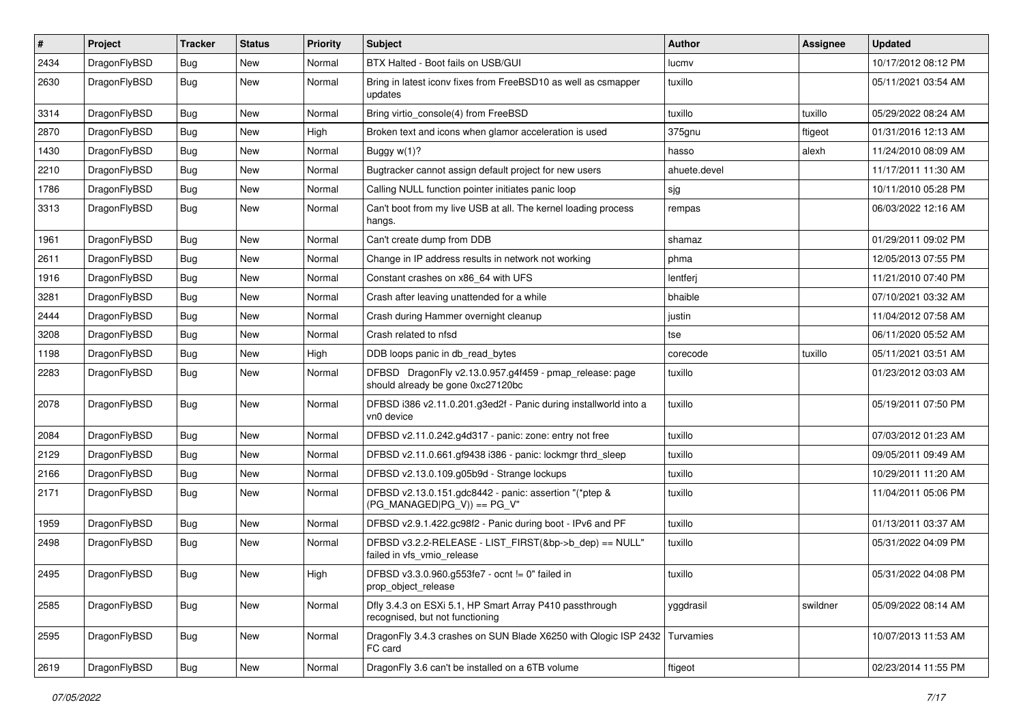| $\sharp$ | Project      | <b>Tracker</b> | <b>Status</b> | <b>Priority</b> | Subject                                                                                      | Author       | Assignee | <b>Updated</b>      |
|----------|--------------|----------------|---------------|-----------------|----------------------------------------------------------------------------------------------|--------------|----------|---------------------|
| 2434     | DragonFlyBSD | Bug            | <b>New</b>    | Normal          | BTX Halted - Boot fails on USB/GUI                                                           | lucmv        |          | 10/17/2012 08:12 PM |
| 2630     | DragonFlyBSD | <b>Bug</b>     | <b>New</b>    | Normal          | Bring in latest iconv fixes from FreeBSD10 as well as csmapper<br>updates                    | tuxillo      |          | 05/11/2021 03:54 AM |
| 3314     | DragonFlyBSD | Bug            | <b>New</b>    | Normal          | Bring virtio_console(4) from FreeBSD                                                         | tuxillo      | tuxillo  | 05/29/2022 08:24 AM |
| 2870     | DragonFlyBSD | Bug            | New           | High            | Broken text and icons when glamor acceleration is used                                       | 375gnu       | ftigeot  | 01/31/2016 12:13 AM |
| 1430     | DragonFlyBSD | Bug            | <b>New</b>    | Normal          | Buggy w(1)?                                                                                  | hasso        | alexh    | 11/24/2010 08:09 AM |
| 2210     | DragonFlyBSD | Bug            | <b>New</b>    | Normal          | Bugtracker cannot assign default project for new users                                       | ahuete.devel |          | 11/17/2011 11:30 AM |
| 1786     | DragonFlyBSD | <b>Bug</b>     | <b>New</b>    | Normal          | Calling NULL function pointer initiates panic loop                                           | sjg          |          | 10/11/2010 05:28 PM |
| 3313     | DragonFlyBSD | <b>Bug</b>     | New           | Normal          | Can't boot from my live USB at all. The kernel loading process<br>hangs.                     | rempas       |          | 06/03/2022 12:16 AM |
| 1961     | DragonFlyBSD | <b>Bug</b>     | <b>New</b>    | Normal          | Can't create dump from DDB                                                                   | shamaz       |          | 01/29/2011 09:02 PM |
| 2611     | DragonFlyBSD | <b>Bug</b>     | New           | Normal          | Change in IP address results in network not working                                          | phma         |          | 12/05/2013 07:55 PM |
| 1916     | DragonFlyBSD | <b>Bug</b>     | New           | Normal          | Constant crashes on x86_64 with UFS                                                          | lentferj     |          | 11/21/2010 07:40 PM |
| 3281     | DragonFlyBSD | <b>Bug</b>     | <b>New</b>    | Normal          | Crash after leaving unattended for a while                                                   | bhaible      |          | 07/10/2021 03:32 AM |
| 2444     | DragonFlyBSD | Bug            | <b>New</b>    | Normal          | Crash during Hammer overnight cleanup                                                        | justin       |          | 11/04/2012 07:58 AM |
| 3208     | DragonFlyBSD | <b>Bug</b>     | <b>New</b>    | Normal          | Crash related to nfsd                                                                        | tse          |          | 06/11/2020 05:52 AM |
| 1198     | DragonFlyBSD | <b>Bug</b>     | New           | High            | DDB loops panic in db_read_bytes                                                             | corecode     | tuxillo  | 05/11/2021 03:51 AM |
| 2283     | DragonFlyBSD | Bug            | <b>New</b>    | Normal          | DFBSD DragonFly v2.13.0.957.g4f459 - pmap_release: page<br>should already be gone 0xc27120bc | tuxillo      |          | 01/23/2012 03:03 AM |
| 2078     | DragonFlyBSD | Bug            | <b>New</b>    | Normal          | DFBSD i386 v2.11.0.201.g3ed2f - Panic during installworld into a<br>vn0 device               | tuxillo      |          | 05/19/2011 07:50 PM |
| 2084     | DragonFlyBSD | Bug            | New           | Normal          | DFBSD v2.11.0.242.g4d317 - panic: zone: entry not free                                       | tuxillo      |          | 07/03/2012 01:23 AM |
| 2129     | DragonFlyBSD | <b>Bug</b>     | New           | Normal          | DFBSD v2.11.0.661.gf9438 i386 - panic: lockmgr thrd_sleep                                    | tuxillo      |          | 09/05/2011 09:49 AM |
| 2166     | DragonFlyBSD | <b>Bug</b>     | <b>New</b>    | Normal          | DFBSD v2.13.0.109.g05b9d - Strange lockups                                                   | tuxillo      |          | 10/29/2011 11:20 AM |
| 2171     | DragonFlyBSD | Bug            | New           | Normal          | DFBSD v2.13.0.151.gdc8442 - panic: assertion "(*ptep &<br>$(PG_MANAGED PG_V)) == PG_V"$      | tuxillo      |          | 11/04/2011 05:06 PM |
| 1959     | DragonFlyBSD | Bug            | <b>New</b>    | Normal          | DFBSD v2.9.1.422.gc98f2 - Panic during boot - IPv6 and PF                                    | tuxillo      |          | 01/13/2011 03:37 AM |
| 2498     | DragonFlyBSD | Bug            | <b>New</b>    | Normal          | DFBSD v3.2.2-RELEASE - LIST FIRST(&bp->b dep) == NULL"<br>failed in vfs_vmio_release         | tuxillo      |          | 05/31/2022 04:09 PM |
| 2495     | DragonFlyBSD | Bug            | <b>New</b>    | High            | DFBSD v3.3.0.960.g553fe7 - ocnt != 0" failed in<br>prop_object_release                       | tuxillo      |          | 05/31/2022 04:08 PM |
| 2585     | DragonFlyBSD | <b>Bug</b>     | New           | Normal          | Dfly 3.4.3 on ESXi 5.1, HP Smart Array P410 passthrough<br>recognised, but not functioning   | yggdrasil    | swildner | 05/09/2022 08:14 AM |
| 2595     | DragonFlyBSD | <b>Bug</b>     | New           | Normal          | DragonFly 3.4.3 crashes on SUN Blade X6250 with Qlogic ISP 2432<br>FC card                   | Turvamies    |          | 10/07/2013 11:53 AM |
| 2619     | DragonFlyBSD | <b>Bug</b>     | New           | Normal          | DragonFly 3.6 can't be installed on a 6TB volume                                             | ftigeot      |          | 02/23/2014 11:55 PM |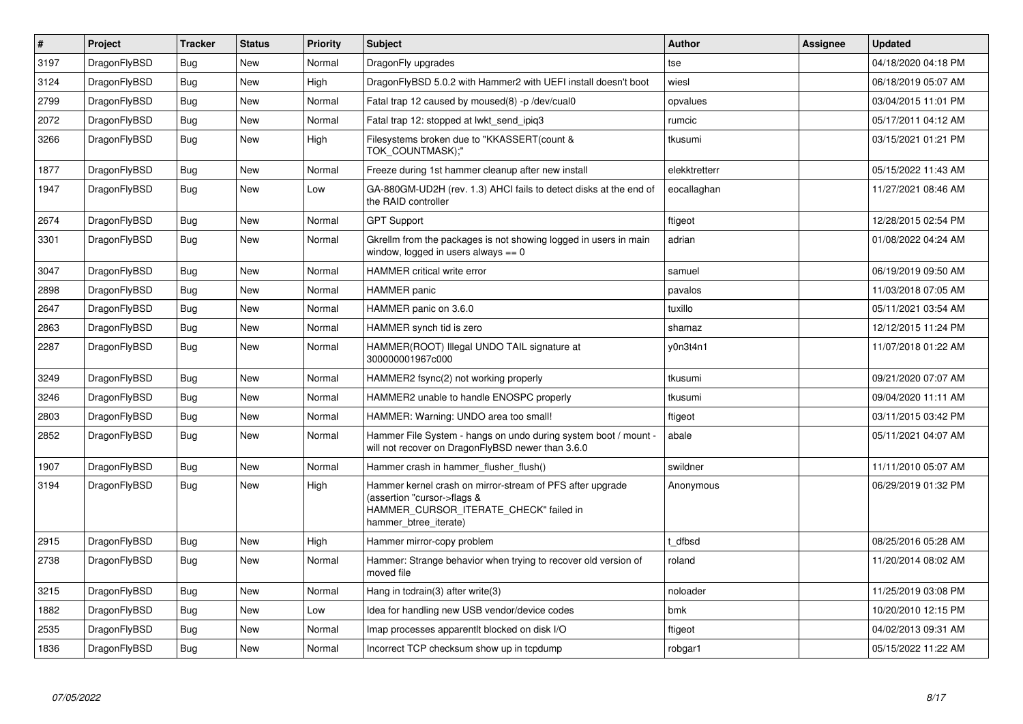| $\vert$ # | Project      | <b>Tracker</b> | <b>Status</b> | <b>Priority</b> | <b>Subject</b>                                                                                                                                              | Author        | Assignee | <b>Updated</b>      |
|-----------|--------------|----------------|---------------|-----------------|-------------------------------------------------------------------------------------------------------------------------------------------------------------|---------------|----------|---------------------|
| 3197      | DragonFlyBSD | <b>Bug</b>     | <b>New</b>    | Normal          | DragonFly upgrades                                                                                                                                          | tse           |          | 04/18/2020 04:18 PM |
| 3124      | DragonFlyBSD | <b>Bug</b>     | <b>New</b>    | High            | DragonFlyBSD 5.0.2 with Hammer2 with UEFI install doesn't boot                                                                                              | wiesl         |          | 06/18/2019 05:07 AM |
| 2799      | DragonFlyBSD | <b>Bug</b>     | <b>New</b>    | Normal          | Fatal trap 12 caused by moused(8) -p/dev/cual0                                                                                                              | opvalues      |          | 03/04/2015 11:01 PM |
| 2072      | DragonFlyBSD | <b>Bug</b>     | <b>New</b>    | Normal          | Fatal trap 12: stopped at lwkt_send_ipiq3                                                                                                                   | rumcic        |          | 05/17/2011 04:12 AM |
| 3266      | DragonFlyBSD | <b>Bug</b>     | <b>New</b>    | High            | Filesystems broken due to "KKASSERT(count &<br>TOK COUNTMASK);"                                                                                             | tkusumi       |          | 03/15/2021 01:21 PM |
| 1877      | DragonFlyBSD | <b>Bug</b>     | <b>New</b>    | Normal          | Freeze during 1st hammer cleanup after new install                                                                                                          | elekktretterr |          | 05/15/2022 11:43 AM |
| 1947      | DragonFlyBSD | Bug            | <b>New</b>    | Low             | GA-880GM-UD2H (rev. 1.3) AHCI fails to detect disks at the end of<br>the RAID controller                                                                    | eocallaghan   |          | 11/27/2021 08:46 AM |
| 2674      | DragonFlyBSD | <b>Bug</b>     | <b>New</b>    | Normal          | <b>GPT Support</b>                                                                                                                                          | ftigeot       |          | 12/28/2015 02:54 PM |
| 3301      | DragonFlyBSD | Bug            | <b>New</b>    | Normal          | Gkrellm from the packages is not showing logged in users in main<br>window, logged in users always $== 0$                                                   | adrian        |          | 01/08/2022 04:24 AM |
| 3047      | DragonFlyBSD | <b>Bug</b>     | <b>New</b>    | Normal          | <b>HAMMER</b> critical write error                                                                                                                          | samuel        |          | 06/19/2019 09:50 AM |
| 2898      | DragonFlyBSD | <b>Bug</b>     | <b>New</b>    | Normal          | <b>HAMMER</b> panic                                                                                                                                         | pavalos       |          | 11/03/2018 07:05 AM |
| 2647      | DragonFlyBSD | Bug            | <b>New</b>    | Normal          | HAMMER panic on 3.6.0                                                                                                                                       | tuxillo       |          | 05/11/2021 03:54 AM |
| 2863      | DragonFlyBSD | Bug            | New           | Normal          | HAMMER synch tid is zero                                                                                                                                    | shamaz        |          | 12/12/2015 11:24 PM |
| 2287      | DragonFlyBSD | <b>Bug</b>     | <b>New</b>    | Normal          | HAMMER(ROOT) Illegal UNDO TAIL signature at<br>300000001967c000                                                                                             | v0n3t4n1      |          | 11/07/2018 01:22 AM |
| 3249      | DragonFlyBSD | Bug            | <b>New</b>    | Normal          | HAMMER2 fsync(2) not working properly                                                                                                                       | tkusumi       |          | 09/21/2020 07:07 AM |
| 3246      | DragonFlyBSD | <b>Bug</b>     | <b>New</b>    | Normal          | HAMMER2 unable to handle ENOSPC properly                                                                                                                    | tkusumi       |          | 09/04/2020 11:11 AM |
| 2803      | DragonFlyBSD | Bug            | <b>New</b>    | Normal          | HAMMER: Warning: UNDO area too small!                                                                                                                       | ftigeot       |          | 03/11/2015 03:42 PM |
| 2852      | DragonFlyBSD | <b>Bug</b>     | <b>New</b>    | Normal          | Hammer File System - hangs on undo during system boot / mount -<br>will not recover on DragonFlyBSD newer than 3.6.0                                        | abale         |          | 05/11/2021 04:07 AM |
| 1907      | DragonFlyBSD | <b>Bug</b>     | <b>New</b>    | Normal          | Hammer crash in hammer flusher flush()                                                                                                                      | swildner      |          | 11/11/2010 05:07 AM |
| 3194      | DragonFlyBSD | <b>Bug</b>     | <b>New</b>    | High            | Hammer kernel crash on mirror-stream of PFS after upgrade<br>(assertion "cursor->flags &<br>HAMMER_CURSOR_ITERATE_CHECK" failed in<br>hammer_btree_iterate) | Anonymous     |          | 06/29/2019 01:32 PM |
| 2915      | DragonFlyBSD | Bug            | <b>New</b>    | High            | Hammer mirror-copy problem                                                                                                                                  | t dfbsd       |          | 08/25/2016 05:28 AM |
| 2738      | DragonFlyBSD | <b>Bug</b>     | <b>New</b>    | Normal          | Hammer: Strange behavior when trying to recover old version of<br>moved file                                                                                | roland        |          | 11/20/2014 08:02 AM |
| 3215      | DragonFlyBSD | <b>Bug</b>     | <b>New</b>    | Normal          | Hang in tcdrain(3) after write(3)                                                                                                                           | noloader      |          | 11/25/2019 03:08 PM |
| 1882      | DragonFlyBSD | Bug            | <b>New</b>    | Low             | Idea for handling new USB vendor/device codes                                                                                                               | bmk           |          | 10/20/2010 12:15 PM |
| 2535      | DragonFlyBSD | Bug            | <b>New</b>    | Normal          | Imap processes apparent t blocked on disk I/O                                                                                                               | ftigeot       |          | 04/02/2013 09:31 AM |
| 1836      | DragonFlyBSD | Bug            | <b>New</b>    | Normal          | Incorrect TCP checksum show up in tcpdump                                                                                                                   | robgar1       |          | 05/15/2022 11:22 AM |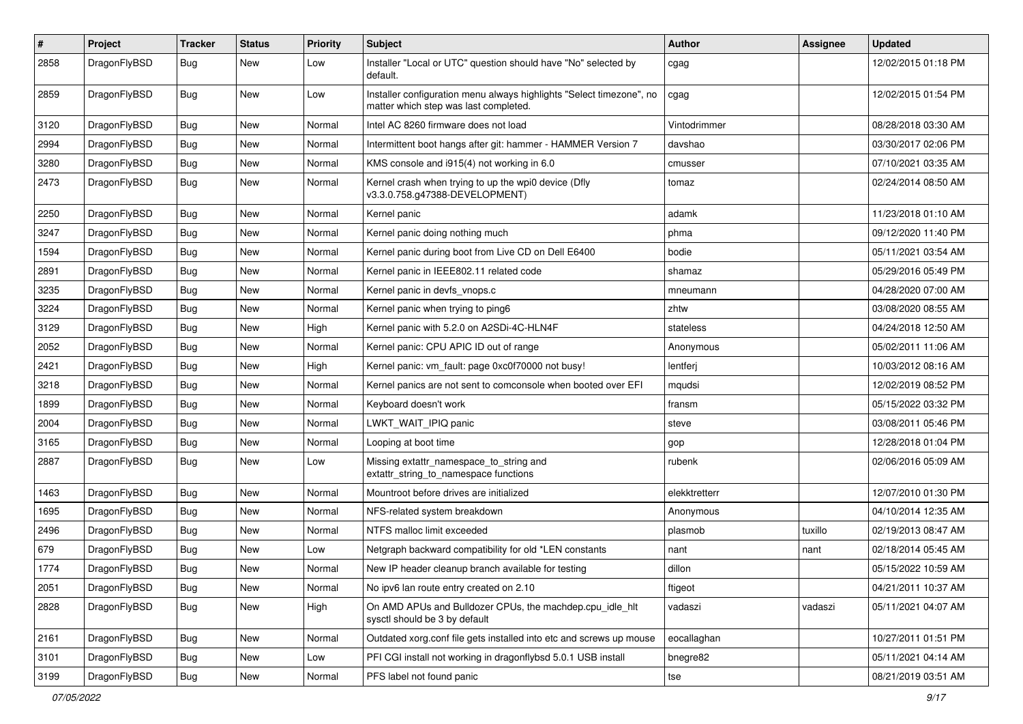| $\vert$ # | Project      | <b>Tracker</b> | <b>Status</b> | <b>Priority</b> | <b>Subject</b>                                                                                                | Author        | <b>Assignee</b> | <b>Updated</b>      |
|-----------|--------------|----------------|---------------|-----------------|---------------------------------------------------------------------------------------------------------------|---------------|-----------------|---------------------|
| 2858      | DragonFlyBSD | Bug            | New           | Low             | Installer "Local or UTC" question should have "No" selected by<br>default.                                    | cgag          |                 | 12/02/2015 01:18 PM |
| 2859      | DragonFlyBSD | Bug            | New           | Low             | Installer configuration menu always highlights "Select timezone", no<br>matter which step was last completed. | cgag          |                 | 12/02/2015 01:54 PM |
| 3120      | DragonFlyBSD | Bug            | <b>New</b>    | Normal          | Intel AC 8260 firmware does not load                                                                          | Vintodrimmer  |                 | 08/28/2018 03:30 AM |
| 2994      | DragonFlyBSD | <b>Bug</b>     | New           | Normal          | Intermittent boot hangs after git: hammer - HAMMER Version 7                                                  | davshao       |                 | 03/30/2017 02:06 PM |
| 3280      | DragonFlyBSD | Bug            | New           | Normal          | KMS console and i915(4) not working in 6.0                                                                    | cmusser       |                 | 07/10/2021 03:35 AM |
| 2473      | DragonFlyBSD | <b>Bug</b>     | New           | Normal          | Kernel crash when trying to up the wpi0 device (Dfly<br>v3.3.0.758.g47388-DEVELOPMENT)                        | tomaz         |                 | 02/24/2014 08:50 AM |
| 2250      | DragonFlyBSD | Bug            | <b>New</b>    | Normal          | Kernel panic                                                                                                  | adamk         |                 | 11/23/2018 01:10 AM |
| 3247      | DragonFlyBSD | Bug            | New           | Normal          | Kernel panic doing nothing much                                                                               | phma          |                 | 09/12/2020 11:40 PM |
| 1594      | DragonFlyBSD | Bug            | New           | Normal          | Kernel panic during boot from Live CD on Dell E6400                                                           | bodie         |                 | 05/11/2021 03:54 AM |
| 2891      | DragonFlyBSD | Bug            | <b>New</b>    | Normal          | Kernel panic in IEEE802.11 related code                                                                       | shamaz        |                 | 05/29/2016 05:49 PM |
| 3235      | DragonFlyBSD | <b>Bug</b>     | New           | Normal          | Kernel panic in devfs vnops.c                                                                                 | mneumann      |                 | 04/28/2020 07:00 AM |
| 3224      | DragonFlyBSD | Bug            | <b>New</b>    | Normal          | Kernel panic when trying to ping6                                                                             | zhtw          |                 | 03/08/2020 08:55 AM |
| 3129      | DragonFlyBSD | <b>Bug</b>     | New           | High            | Kernel panic with 5.2.0 on A2SDi-4C-HLN4F                                                                     | stateless     |                 | 04/24/2018 12:50 AM |
| 2052      | DragonFlyBSD | Bug            | New           | Normal          | Kernel panic: CPU APIC ID out of range                                                                        | Anonymous     |                 | 05/02/2011 11:06 AM |
| 2421      | DragonFlyBSD | Bug            | <b>New</b>    | High            | Kernel panic: vm_fault: page 0xc0f70000 not busy!                                                             | lentferj      |                 | 10/03/2012 08:16 AM |
| 3218      | DragonFlyBSD | Bug            | New           | Normal          | Kernel panics are not sent to comconsole when booted over EFI                                                 | mqudsi        |                 | 12/02/2019 08:52 PM |
| 1899      | DragonFlyBSD | Bug            | New           | Normal          | Keyboard doesn't work                                                                                         | fransm        |                 | 05/15/2022 03:32 PM |
| 2004      | DragonFlyBSD | <b>Bug</b>     | New           | Normal          | LWKT_WAIT_IPIQ panic                                                                                          | steve         |                 | 03/08/2011 05:46 PM |
| 3165      | DragonFlyBSD | Bug            | New           | Normal          | Looping at boot time                                                                                          | gop           |                 | 12/28/2018 01:04 PM |
| 2887      | DragonFlyBSD | Bug            | New           | Low             | Missing extattr_namespace_to_string and<br>extattr string to namespace functions                              | rubenk        |                 | 02/06/2016 05:09 AM |
| 1463      | DragonFlyBSD | Bug            | <b>New</b>    | Normal          | Mountroot before drives are initialized                                                                       | elekktretterr |                 | 12/07/2010 01:30 PM |
| 1695      | DragonFlyBSD | Bug            | <b>New</b>    | Normal          | NFS-related system breakdown                                                                                  | Anonymous     |                 | 04/10/2014 12:35 AM |
| 2496      | DragonFlyBSD | <b>Bug</b>     | New           | Normal          | NTFS malloc limit exceeded                                                                                    | plasmob       | tuxillo         | 02/19/2013 08:47 AM |
| 679       | DragonFlyBSD | Bug            | New           | Low             | Netgraph backward compatibility for old *LEN constants                                                        | nant          | nant            | 02/18/2014 05:45 AM |
| 1774      | DragonFlyBSD | <b>Bug</b>     | New           | Normal          | New IP header cleanup branch available for testing                                                            | dillon        |                 | 05/15/2022 10:59 AM |
| 2051      | DragonFlyBSD | <b>Bug</b>     | New           | Normal          | No ipv6 lan route entry created on 2.10                                                                       | ftigeot       |                 | 04/21/2011 10:37 AM |
| 2828      | DragonFlyBSD | Bug            | New           | High            | On AMD APUs and Bulldozer CPUs, the machdep.cpu idle hlt<br>sysctl should be 3 by default                     | vadaszi       | vadaszi         | 05/11/2021 04:07 AM |
| 2161      | DragonFlyBSD | Bug            | New           | Normal          | Outdated xorg.conf file gets installed into etc and screws up mouse                                           | eocallaghan   |                 | 10/27/2011 01:51 PM |
| 3101      | DragonFlyBSD | Bug            | New           | Low             | PFI CGI install not working in dragonflybsd 5.0.1 USB install                                                 | bnegre82      |                 | 05/11/2021 04:14 AM |
| 3199      | DragonFlyBSD | Bug            | New           | Normal          | PFS label not found panic                                                                                     | tse           |                 | 08/21/2019 03:51 AM |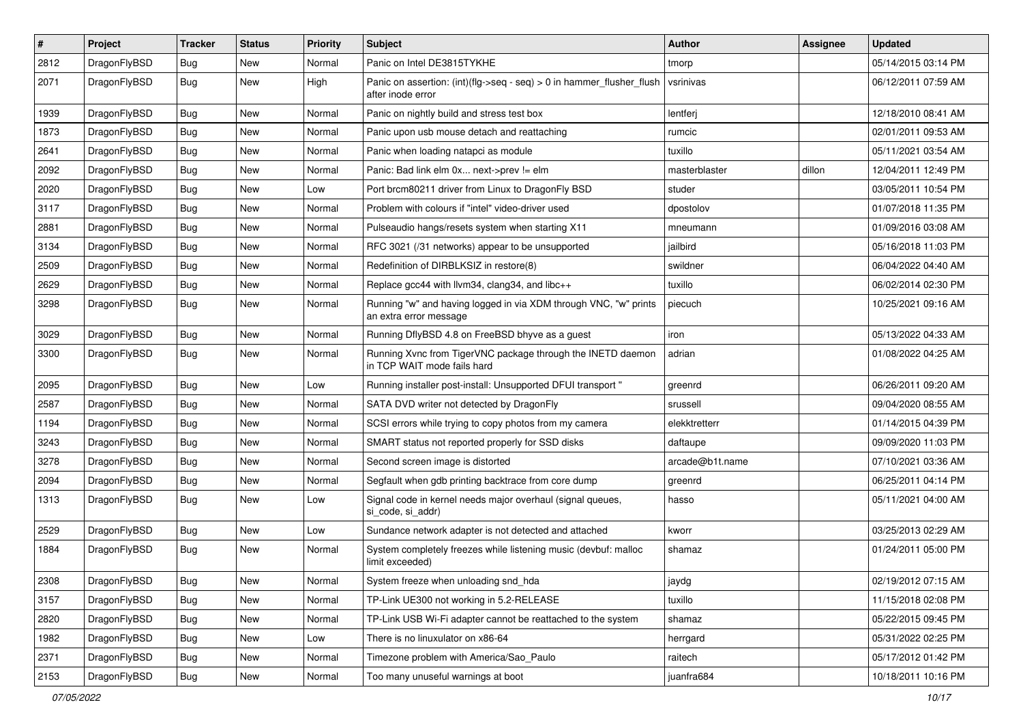| $\sharp$ | Project      | <b>Tracker</b> | <b>Status</b> | <b>Priority</b> | Subject                                                                                    | Author          | Assignee | <b>Updated</b>      |
|----------|--------------|----------------|---------------|-----------------|--------------------------------------------------------------------------------------------|-----------------|----------|---------------------|
| 2812     | DragonFlyBSD | <b>Bug</b>     | New           | Normal          | Panic on Intel DE3815TYKHE                                                                 | tmorp           |          | 05/14/2015 03:14 PM |
| 2071     | DragonFlyBSD | Bug            | New           | High            | Panic on assertion: (int)(flg->seq - seq) > 0 in hammer_flusher_flush<br>after inode error | vsrinivas       |          | 06/12/2011 07:59 AM |
| 1939     | DragonFlyBSD | Bug            | New           | Normal          | Panic on nightly build and stress test box                                                 | lentferj        |          | 12/18/2010 08:41 AM |
| 1873     | DragonFlyBSD | <b>Bug</b>     | New           | Normal          | Panic upon usb mouse detach and reattaching                                                | rumcic          |          | 02/01/2011 09:53 AM |
| 2641     | DragonFlyBSD | <b>Bug</b>     | New           | Normal          | Panic when loading natapci as module                                                       | tuxillo         |          | 05/11/2021 03:54 AM |
| 2092     | DragonFlyBSD | <b>Bug</b>     | New           | Normal          | Panic: Bad link elm 0x next->prev != elm                                                   | masterblaster   | dillon   | 12/04/2011 12:49 PM |
| 2020     | DragonFlyBSD | <b>Bug</b>     | New           | Low             | Port brcm80211 driver from Linux to DragonFly BSD                                          | studer          |          | 03/05/2011 10:54 PM |
| 3117     | DragonFlyBSD | <b>Bug</b>     | New           | Normal          | Problem with colours if "intel" video-driver used                                          | dpostolov       |          | 01/07/2018 11:35 PM |
| 2881     | DragonFlyBSD | Bug            | <b>New</b>    | Normal          | Pulseaudio hangs/resets system when starting X11                                           | mneumann        |          | 01/09/2016 03:08 AM |
| 3134     | DragonFlyBSD | <b>Bug</b>     | New           | Normal          | RFC 3021 (/31 networks) appear to be unsupported                                           | jailbird        |          | 05/16/2018 11:03 PM |
| 2509     | DragonFlyBSD | <b>Bug</b>     | New           | Normal          | Redefinition of DIRBLKSIZ in restore(8)                                                    | swildner        |          | 06/04/2022 04:40 AM |
| 2629     | DragonFlyBSD | <b>Bug</b>     | New           | Normal          | Replace gcc44 with llvm34, clang34, and libc++                                             | tuxillo         |          | 06/02/2014 02:30 PM |
| 3298     | DragonFlyBSD | <b>Bug</b>     | <b>New</b>    | Normal          | Running "w" and having logged in via XDM through VNC, "w" prints<br>an extra error message | piecuch         |          | 10/25/2021 09:16 AM |
| 3029     | DragonFlyBSD | Bug            | New           | Normal          | Running DflyBSD 4.8 on FreeBSD bhyve as a guest                                            | iron            |          | 05/13/2022 04:33 AM |
| 3300     | DragonFlyBSD | <b>Bug</b>     | New           | Normal          | Running Xvnc from TigerVNC package through the INETD daemon<br>in TCP WAIT mode fails hard | adrian          |          | 01/08/2022 04:25 AM |
| 2095     | DragonFlyBSD | <b>Bug</b>     | <b>New</b>    | Low             | Running installer post-install: Unsupported DFUI transport "                               | greenrd         |          | 06/26/2011 09:20 AM |
| 2587     | DragonFlyBSD | <b>Bug</b>     | New           | Normal          | SATA DVD writer not detected by DragonFly                                                  | srussell        |          | 09/04/2020 08:55 AM |
| 1194     | DragonFlyBSD | <b>Bug</b>     | New           | Normal          | SCSI errors while trying to copy photos from my camera                                     | elekktretterr   |          | 01/14/2015 04:39 PM |
| 3243     | DragonFlyBSD | <b>Bug</b>     | <b>New</b>    | Normal          | SMART status not reported properly for SSD disks                                           | daftaupe        |          | 09/09/2020 11:03 PM |
| 3278     | DragonFlyBSD | Bug            | <b>New</b>    | Normal          | Second screen image is distorted                                                           | arcade@b1t.name |          | 07/10/2021 03:36 AM |
| 2094     | DragonFlyBSD | <b>Bug</b>     | <b>New</b>    | Normal          | Segfault when gdb printing backtrace from core dump                                        | greenrd         |          | 06/25/2011 04:14 PM |
| 1313     | DragonFlyBSD | <b>Bug</b>     | New           | Low             | Signal code in kernel needs major overhaul (signal queues,<br>si_code, si_addr)            | hasso           |          | 05/11/2021 04:00 AM |
| 2529     | DragonFlyBSD | Bug            | New           | Low             | Sundance network adapter is not detected and attached                                      | kworr           |          | 03/25/2013 02:29 AM |
| 1884     | DragonFlyBSD | <b>Bug</b>     | <b>New</b>    | Normal          | System completely freezes while listening music (devbuf: malloc<br>limit exceeded)         | shamaz          |          | 01/24/2011 05:00 PM |
| 2308     | DragonFlyBSD | <b>Bug</b>     | <b>New</b>    | Normal          | System freeze when unloading snd_hda                                                       | jaydg           |          | 02/19/2012 07:15 AM |
| 3157     | DragonFlyBSD | <b>Bug</b>     | New           | Normal          | TP-Link UE300 not working in 5.2-RELEASE                                                   | tuxillo         |          | 11/15/2018 02:08 PM |
| 2820     | DragonFlyBSD | <b>Bug</b>     | New           | Normal          | TP-Link USB Wi-Fi adapter cannot be reattached to the system                               | shamaz          |          | 05/22/2015 09:45 PM |
| 1982     | DragonFlyBSD | <b>Bug</b>     | New           | Low             | There is no linuxulator on x86-64                                                          | herrgard        |          | 05/31/2022 02:25 PM |
| 2371     | DragonFlyBSD | <b>Bug</b>     | <b>New</b>    | Normal          | Timezone problem with America/Sao_Paulo                                                    | raitech         |          | 05/17/2012 01:42 PM |
| 2153     | DragonFlyBSD | <b>Bug</b>     | New           | Normal          | Too many unuseful warnings at boot                                                         | juanfra684      |          | 10/18/2011 10:16 PM |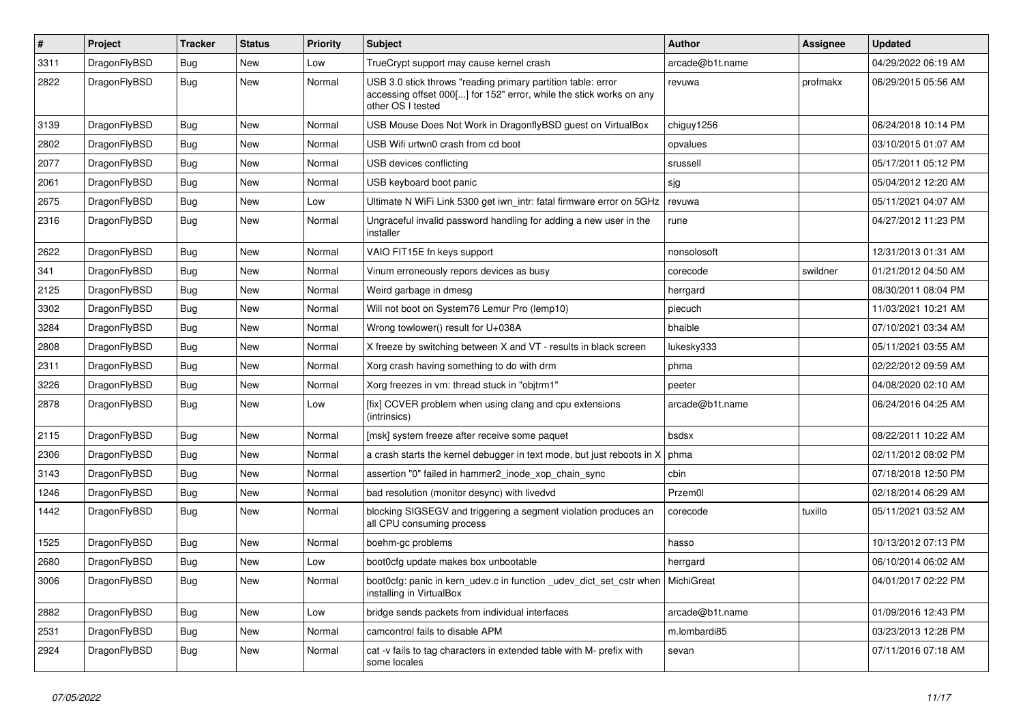| $\sharp$ | Project      | <b>Tracker</b> | <b>Status</b> | <b>Priority</b> | Subject                                                                                                                                                  | Author          | Assignee | <b>Updated</b>      |
|----------|--------------|----------------|---------------|-----------------|----------------------------------------------------------------------------------------------------------------------------------------------------------|-----------------|----------|---------------------|
| 3311     | DragonFlyBSD | <b>Bug</b>     | New           | Low             | TrueCrypt support may cause kernel crash                                                                                                                 | arcade@b1t.name |          | 04/29/2022 06:19 AM |
| 2822     | DragonFlyBSD | Bug            | New           | Normal          | USB 3.0 stick throws "reading primary partition table: error<br>accessing offset 000[] for 152" error, while the stick works on any<br>other OS I tested | revuwa          | profmakx | 06/29/2015 05:56 AM |
| 3139     | DragonFlyBSD | Bug            | New           | Normal          | USB Mouse Does Not Work in DragonflyBSD guest on VirtualBox                                                                                              | chiguy1256      |          | 06/24/2018 10:14 PM |
| 2802     | DragonFlyBSD | <b>Bug</b>     | New           | Normal          | USB Wifi urtwn0 crash from cd boot                                                                                                                       | opvalues        |          | 03/10/2015 01:07 AM |
| 2077     | DragonFlyBSD | <b>Bug</b>     | New           | Normal          | USB devices conflicting                                                                                                                                  | srussell        |          | 05/17/2011 05:12 PM |
| 2061     | DragonFlyBSD | <b>Bug</b>     | New           | Normal          | USB keyboard boot panic                                                                                                                                  | sjg             |          | 05/04/2012 12:20 AM |
| 2675     | DragonFlyBSD | <b>Bug</b>     | <b>New</b>    | Low             | Ultimate N WiFi Link 5300 get iwn_intr: fatal firmware error on 5GHz                                                                                     | revuwa          |          | 05/11/2021 04:07 AM |
| 2316     | DragonFlyBSD | Bug            | New           | Normal          | Ungraceful invalid password handling for adding a new user in the<br>installer                                                                           | rune            |          | 04/27/2012 11:23 PM |
| 2622     | DragonFlyBSD | Bug            | New           | Normal          | VAIO FIT15E fn keys support                                                                                                                              | nonsolosoft     |          | 12/31/2013 01:31 AM |
| 341      | DragonFlyBSD | Bug            | <b>New</b>    | Normal          | Vinum erroneously repors devices as busy                                                                                                                 | corecode        | swildner | 01/21/2012 04:50 AM |
| 2125     | DragonFlyBSD | <b>Bug</b>     | New           | Normal          | Weird garbage in dmesg                                                                                                                                   | herrgard        |          | 08/30/2011 08:04 PM |
| 3302     | DragonFlyBSD | <b>Bug</b>     | New           | Normal          | Will not boot on System76 Lemur Pro (lemp10)                                                                                                             | piecuch         |          | 11/03/2021 10:21 AM |
| 3284     | DragonFlyBSD | <b>Bug</b>     | <b>New</b>    | Normal          | Wrong towlower() result for U+038A                                                                                                                       | bhaible         |          | 07/10/2021 03:34 AM |
| 2808     | DragonFlyBSD | <b>Bug</b>     | New           | Normal          | X freeze by switching between X and VT - results in black screen                                                                                         | lukesky333      |          | 05/11/2021 03:55 AM |
| 2311     | DragonFlyBSD | Bug            | <b>New</b>    | Normal          | Xorg crash having something to do with drm                                                                                                               | phma            |          | 02/22/2012 09:59 AM |
| 3226     | DragonFlyBSD | <b>Bug</b>     | New           | Normal          | Xorg freezes in vm: thread stuck in "objtrm1"                                                                                                            | peeter          |          | 04/08/2020 02:10 AM |
| 2878     | DragonFlyBSD | <b>Bug</b>     | New           | Low             | [fix] CCVER problem when using clang and cpu extensions<br>(intrinsics)                                                                                  | arcade@b1t.name |          | 06/24/2016 04:25 AM |
| 2115     | DragonFlyBSD | Bug            | New           | Normal          | [msk] system freeze after receive some paquet                                                                                                            | bsdsx           |          | 08/22/2011 10:22 AM |
| 2306     | DragonFlyBSD | <b>Bug</b>     | New           | Normal          | a crash starts the kernel debugger in text mode, but just reboots in X                                                                                   | phma            |          | 02/11/2012 08:02 PM |
| 3143     | DragonFlyBSD | <b>Bug</b>     | <b>New</b>    | Normal          | assertion "0" failed in hammer2_inode_xop_chain_sync                                                                                                     | cbin            |          | 07/18/2018 12:50 PM |
| 1246     | DragonFlyBSD | <b>Bug</b>     | New           | Normal          | bad resolution (monitor desync) with livedvd                                                                                                             | Przem0l         |          | 02/18/2014 06:29 AM |
| 1442     | DragonFlyBSD | Bug            | New           | Normal          | blocking SIGSEGV and triggering a segment violation produces an<br>all CPU consuming process                                                             | corecode        | tuxillo  | 05/11/2021 03:52 AM |
| 1525     | DragonFlyBSD | <b>Bug</b>     | New           | Normal          | boehm-gc problems                                                                                                                                        | hasso           |          | 10/13/2012 07:13 PM |
| 2680     | DragonFlyBSD | <b>Bug</b>     | New           | Low             | boot0cfg update makes box unbootable                                                                                                                     | herrgard        |          | 06/10/2014 06:02 AM |
| 3006     | DragonFlyBSD | <b>Bug</b>     | New           | Normal          | boot0cfg: panic in kern_udev.c in function _udev_dict_set_cstr when   MichiGreat<br>installing in VirtualBox                                             |                 |          | 04/01/2017 02:22 PM |
| 2882     | DragonFlyBSD | <b>Bug</b>     | <b>New</b>    | Low             | bridge sends packets from individual interfaces                                                                                                          | arcade@b1t.name |          | 01/09/2016 12:43 PM |
| 2531     | DragonFlyBSD | <b>Bug</b>     | <b>New</b>    | Normal          | camcontrol fails to disable APM                                                                                                                          | m.lombardi85    |          | 03/23/2013 12:28 PM |
| 2924     | DragonFlyBSD | Bug            | New           | Normal          | cat -v fails to tag characters in extended table with M- prefix with<br>some locales                                                                     | sevan           |          | 07/11/2016 07:18 AM |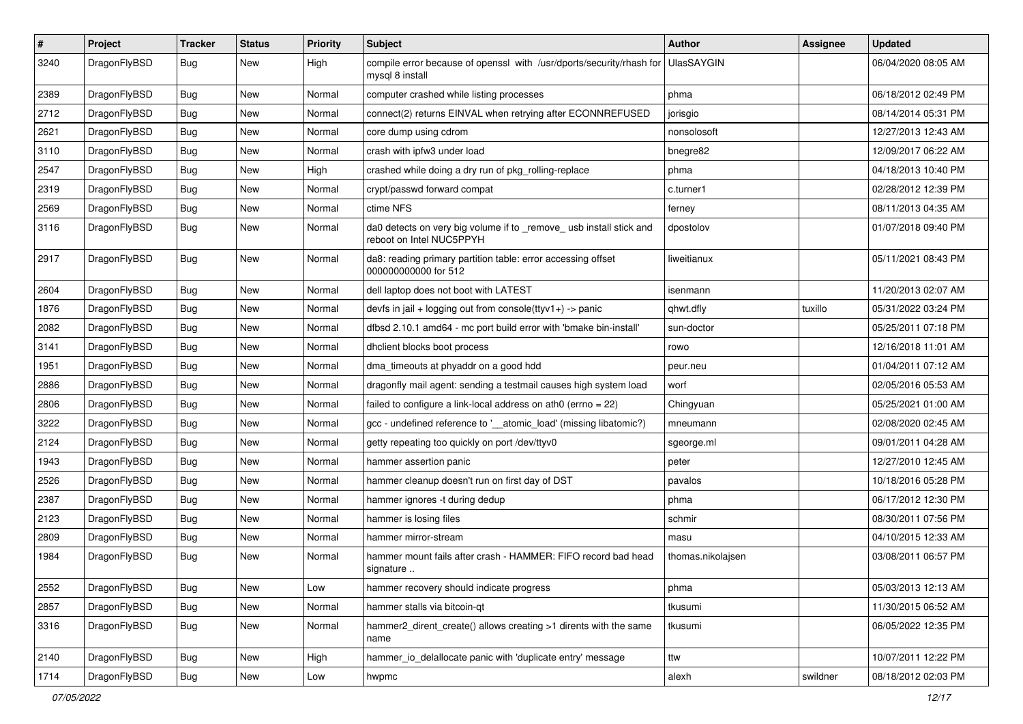| $\vert$ # | Project      | <b>Tracker</b> | <b>Status</b> | <b>Priority</b> | <b>Subject</b>                                                                                  | Author            | Assignee | <b>Updated</b>      |
|-----------|--------------|----------------|---------------|-----------------|-------------------------------------------------------------------------------------------------|-------------------|----------|---------------------|
| 3240      | DragonFlyBSD | Bug            | New           | High            | compile error because of openssl with /usr/dports/security/rhash for<br>mysql 8 install         | UlasSAYGIN        |          | 06/04/2020 08:05 AM |
| 2389      | DragonFlyBSD | <b>Bug</b>     | New           | Normal          | computer crashed while listing processes                                                        | phma              |          | 06/18/2012 02:49 PM |
| 2712      | DragonFlyBSD | <b>Bug</b>     | <b>New</b>    | Normal          | connect(2) returns EINVAL when retrying after ECONNREFUSED                                      | jorisgio          |          | 08/14/2014 05:31 PM |
| 2621      | DragonFlyBSD | Bug            | <b>New</b>    | Normal          | core dump using cdrom                                                                           | nonsolosoft       |          | 12/27/2013 12:43 AM |
| 3110      | DragonFlyBSD | <b>Bug</b>     | New           | Normal          | crash with ipfw3 under load                                                                     | bnegre82          |          | 12/09/2017 06:22 AM |
| 2547      | DragonFlyBSD | Bug            | <b>New</b>    | High            | crashed while doing a dry run of pkg_rolling-replace                                            | phma              |          | 04/18/2013 10:40 PM |
| 2319      | DragonFlyBSD | Bug            | New           | Normal          | crypt/passwd forward compat                                                                     | c.turner1         |          | 02/28/2012 12:39 PM |
| 2569      | DragonFlyBSD | Bug            | New           | Normal          | ctime NFS                                                                                       | ferney            |          | 08/11/2013 04:35 AM |
| 3116      | DragonFlyBSD | <b>Bug</b>     | New           | Normal          | da0 detects on very big volume if to _remove_ usb install stick and<br>reboot on Intel NUC5PPYH | dpostolov         |          | 01/07/2018 09:40 PM |
| 2917      | DragonFlyBSD | Bug            | New           | Normal          | da8: reading primary partition table: error accessing offset<br>000000000000 for 512            | liweitianux       |          | 05/11/2021 08:43 PM |
| 2604      | DragonFlyBSD | Bug            | <b>New</b>    | Normal          | dell laptop does not boot with LATEST                                                           | isenmann          |          | 11/20/2013 02:07 AM |
| 1876      | DragonFlyBSD | Bug            | New           | Normal          | devfs in jail + logging out from console(ttyv1+) -> panic                                       | qhwt.dfly         | tuxillo  | 05/31/2022 03:24 PM |
| 2082      | DragonFlyBSD | Bug            | New           | Normal          | dfbsd 2.10.1 amd64 - mc port build error with 'bmake bin-install'                               | sun-doctor        |          | 05/25/2011 07:18 PM |
| 3141      | DragonFlyBSD | Bug            | New           | Normal          | dhclient blocks boot process                                                                    | rowo              |          | 12/16/2018 11:01 AM |
| 1951      | DragonFlyBSD | <b>Bug</b>     | <b>New</b>    | Normal          | dma timeouts at phyaddr on a good hdd                                                           | peur.neu          |          | 01/04/2011 07:12 AM |
| 2886      | DragonFlyBSD | <b>Bug</b>     | New           | Normal          | dragonfly mail agent: sending a testmail causes high system load                                | worf              |          | 02/05/2016 05:53 AM |
| 2806      | DragonFlyBSD | Bug            | New           | Normal          | failed to configure a link-local address on ath0 (errno = 22)                                   | Chingyuan         |          | 05/25/2021 01:00 AM |
| 3222      | DragonFlyBSD | Bug            | <b>New</b>    | Normal          | gcc - undefined reference to '__atomic_load' (missing libatomic?)                               | mneumann          |          | 02/08/2020 02:45 AM |
| 2124      | DragonFlyBSD | <b>Bug</b>     | New           | Normal          | getty repeating too quickly on port /dev/ttyv0                                                  | sgeorge.ml        |          | 09/01/2011 04:28 AM |
| 1943      | DragonFlyBSD | <b>Bug</b>     | <b>New</b>    | Normal          | hammer assertion panic                                                                          | peter             |          | 12/27/2010 12:45 AM |
| 2526      | DragonFlyBSD | <b>Bug</b>     | New           | Normal          | hammer cleanup doesn't run on first day of DST                                                  | pavalos           |          | 10/18/2016 05:28 PM |
| 2387      | DragonFlyBSD | <b>Bug</b>     | New           | Normal          | hammer ignores -t during dedup                                                                  | phma              |          | 06/17/2012 12:30 PM |
| 2123      | DragonFlyBSD | Bug            | <b>New</b>    | Normal          | hammer is losing files                                                                          | schmir            |          | 08/30/2011 07:56 PM |
| 2809      | DragonFlyBSD | Bug            | New           | Normal          | hammer mirror-stream                                                                            | masu              |          | 04/10/2015 12:33 AM |
| 1984      | DragonFlyBSD | Bug            | New           | Normal          | hammer mount fails after crash - HAMMER: FIFO record bad head<br>signature                      | thomas.nikolajsen |          | 03/08/2011 06:57 PM |
| 2552      | DragonFlyBSD | <b>Bug</b>     | New           | Low             | hammer recovery should indicate progress                                                        | phma              |          | 05/03/2013 12:13 AM |
| 2857      | DragonFlyBSD | Bug            | New           | Normal          | hammer stalls via bitcoin-qt                                                                    | tkusumi           |          | 11/30/2015 06:52 AM |
| 3316      | DragonFlyBSD | <b>Bug</b>     | New           | Normal          | hammer2_dirent_create() allows creating >1 dirents with the same<br>name                        | tkusumi           |          | 06/05/2022 12:35 PM |
| 2140      | DragonFlyBSD | <b>Bug</b>     | New           | High            | hammer_io_delallocate panic with 'duplicate entry' message                                      | ttw               |          | 10/07/2011 12:22 PM |
| 1714      | DragonFlyBSD | <b>Bug</b>     | New           | Low             | hwpmc                                                                                           | alexh             | swildner | 08/18/2012 02:03 PM |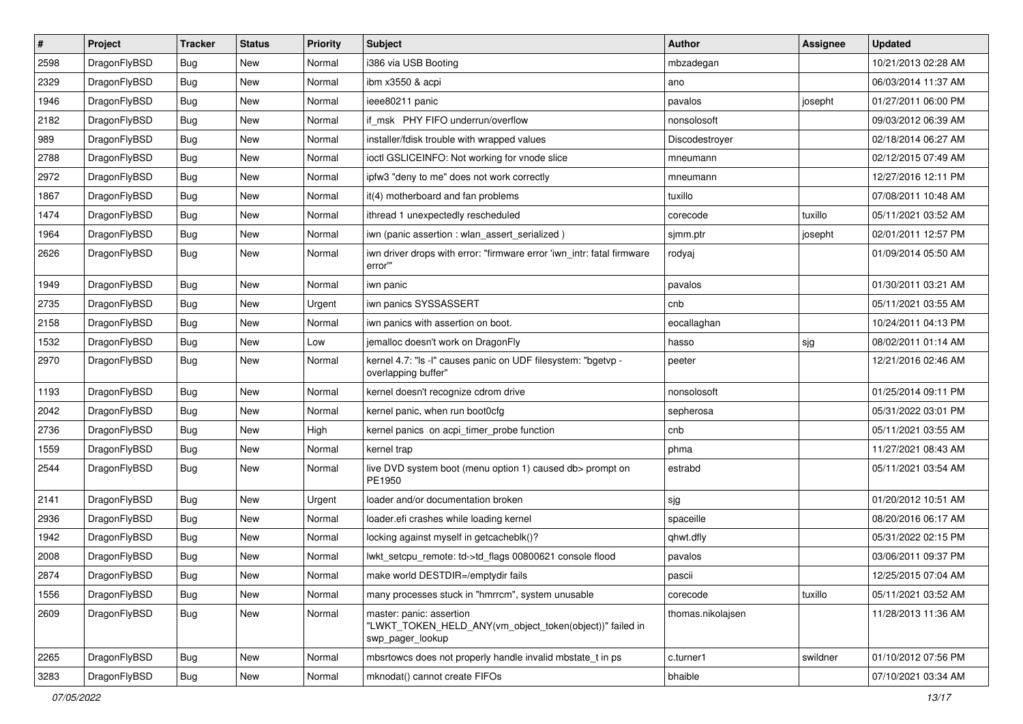| $\sharp$ | Project      | <b>Tracker</b> | <b>Status</b> | <b>Priority</b> | Subject                                                                                                  | <b>Author</b>     | <b>Assignee</b> | <b>Updated</b>      |
|----------|--------------|----------------|---------------|-----------------|----------------------------------------------------------------------------------------------------------|-------------------|-----------------|---------------------|
| 2598     | DragonFlyBSD | Bug            | New           | Normal          | i386 via USB Booting                                                                                     | mbzadegan         |                 | 10/21/2013 02:28 AM |
| 2329     | DragonFlyBSD | Bug            | <b>New</b>    | Normal          | ibm x3550 & acpi                                                                                         | ano               |                 | 06/03/2014 11:37 AM |
| 1946     | DragonFlyBSD | <b>Bug</b>     | New           | Normal          | ieee80211 panic                                                                                          | pavalos           | josepht         | 01/27/2011 06:00 PM |
| 2182     | DragonFlyBSD | <b>Bug</b>     | New           | Normal          | if_msk PHY FIFO underrun/overflow                                                                        | nonsolosoft       |                 | 09/03/2012 06:39 AM |
| 989      | DragonFlyBSD | Bug            | <b>New</b>    | Normal          | installer/fdisk trouble with wrapped values                                                              | Discodestroyer    |                 | 02/18/2014 06:27 AM |
| 2788     | DragonFlyBSD | <b>Bug</b>     | New           | Normal          | ioctl GSLICEINFO: Not working for vnode slice                                                            | mneumann          |                 | 02/12/2015 07:49 AM |
| 2972     | DragonFlyBSD | <b>Bug</b>     | New           | Normal          | ipfw3 "deny to me" does not work correctly                                                               | mneumann          |                 | 12/27/2016 12:11 PM |
| 1867     | DragonFlyBSD | <b>Bug</b>     | New           | Normal          | it(4) motherboard and fan problems                                                                       | tuxillo           |                 | 07/08/2011 10:48 AM |
| 1474     | DragonFlyBSD | <b>Bug</b>     | <b>New</b>    | Normal          | ithread 1 unexpectedly rescheduled                                                                       | corecode          | tuxillo         | 05/11/2021 03:52 AM |
| 1964     | DragonFlyBSD | Bug            | <b>New</b>    | Normal          | iwn (panic assertion : wlan_assert_serialized)                                                           | sjmm.ptr          | josepht         | 02/01/2011 12:57 PM |
| 2626     | DragonFlyBSD | <b>Bug</b>     | New           | Normal          | iwn driver drops with error: "firmware error 'iwn_intr: fatal firmware<br>error"                         | rodyaj            |                 | 01/09/2014 05:50 AM |
| 1949     | DragonFlyBSD | <b>Bug</b>     | <b>New</b>    | Normal          | iwn panic                                                                                                | pavalos           |                 | 01/30/2011 03:21 AM |
| 2735     | DragonFlyBSD | <b>Bug</b>     | New           | Urgent          | iwn panics SYSSASSERT                                                                                    | cnb               |                 | 05/11/2021 03:55 AM |
| 2158     | DragonFlyBSD | <b>Bug</b>     | New           | Normal          | iwn panics with assertion on boot.                                                                       | eocallaghan       |                 | 10/24/2011 04:13 PM |
| 1532     | DragonFlyBSD | <b>Bug</b>     | New           | Low             | jemalloc doesn't work on DragonFly                                                                       | hasso             | sjg             | 08/02/2011 01:14 AM |
| 2970     | DragonFlyBSD | <b>Bug</b>     | New           | Normal          | kernel 4.7: "Is -I" causes panic on UDF filesystem: "bgetvp -<br>overlapping buffer"                     | peeter            |                 | 12/21/2016 02:46 AM |
| 1193     | DragonFlyBSD | <b>Bug</b>     | <b>New</b>    | Normal          | kernel doesn't recognize cdrom drive                                                                     | nonsolosoft       |                 | 01/25/2014 09:11 PM |
| 2042     | DragonFlyBSD | <b>Bug</b>     | <b>New</b>    | Normal          | kernel panic, when run boot0cfg                                                                          | sepherosa         |                 | 05/31/2022 03:01 PM |
| 2736     | DragonFlyBSD | <b>Bug</b>     | New           | High            | kernel panics on acpi_timer_probe function                                                               | cnb               |                 | 05/11/2021 03:55 AM |
| 1559     | DragonFlyBSD | <b>Bug</b>     | New           | Normal          | kernel trap                                                                                              | phma              |                 | 11/27/2021 08:43 AM |
| 2544     | DragonFlyBSD | <b>Bug</b>     | New           | Normal          | live DVD system boot (menu option 1) caused db> prompt on<br>PE1950                                      | estrabd           |                 | 05/11/2021 03:54 AM |
| 2141     | DragonFlyBSD | <b>Bug</b>     | <b>New</b>    | Urgent          | loader and/or documentation broken                                                                       | sjg               |                 | 01/20/2012 10:51 AM |
| 2936     | DragonFlyBSD | <b>Bug</b>     | <b>New</b>    | Normal          | loader.efi crashes while loading kernel                                                                  | spaceille         |                 | 08/20/2016 06:17 AM |
| 1942     | DragonFlyBSD | <b>Bug</b>     | New           | Normal          | locking against myself in getcacheblk()?                                                                 | qhwt.dfly         |                 | 05/31/2022 02:15 PM |
| 2008     | DragonFlyBSD | <b>Bug</b>     | <b>New</b>    | Normal          | lwkt_setcpu_remote: td->td_flags 00800621 console flood                                                  | pavalos           |                 | 03/06/2011 09:37 PM |
| 2874     | DragonFlyBSD | Bug            | New           | Normal          | make world DESTDIR=/emptydir fails                                                                       | pascii            |                 | 12/25/2015 07:04 AM |
| 1556     | DragonFlyBSD | <b>Bug</b>     | New           | Normal          | many processes stuck in "hmrrcm", system unusable                                                        | corecode          | tuxillo         | 05/11/2021 03:52 AM |
| 2609     | DragonFlyBSD | Bug            | New           | Normal          | master: panic: assertion<br>"LWKT_TOKEN_HELD_ANY(vm_object_token(object))" failed in<br>swp_pager_lookup | thomas.nikolajsen |                 | 11/28/2013 11:36 AM |
| 2265     | DragonFlyBSD | <b>Bug</b>     | New           | Normal          | mbsrtowcs does not properly handle invalid mbstate_t in ps                                               | c.turner1         | swildner        | 01/10/2012 07:56 PM |
| 3283     | DragonFlyBSD | <b>Bug</b>     | New           | Normal          | mknodat() cannot create FIFOs                                                                            | bhaible           |                 | 07/10/2021 03:34 AM |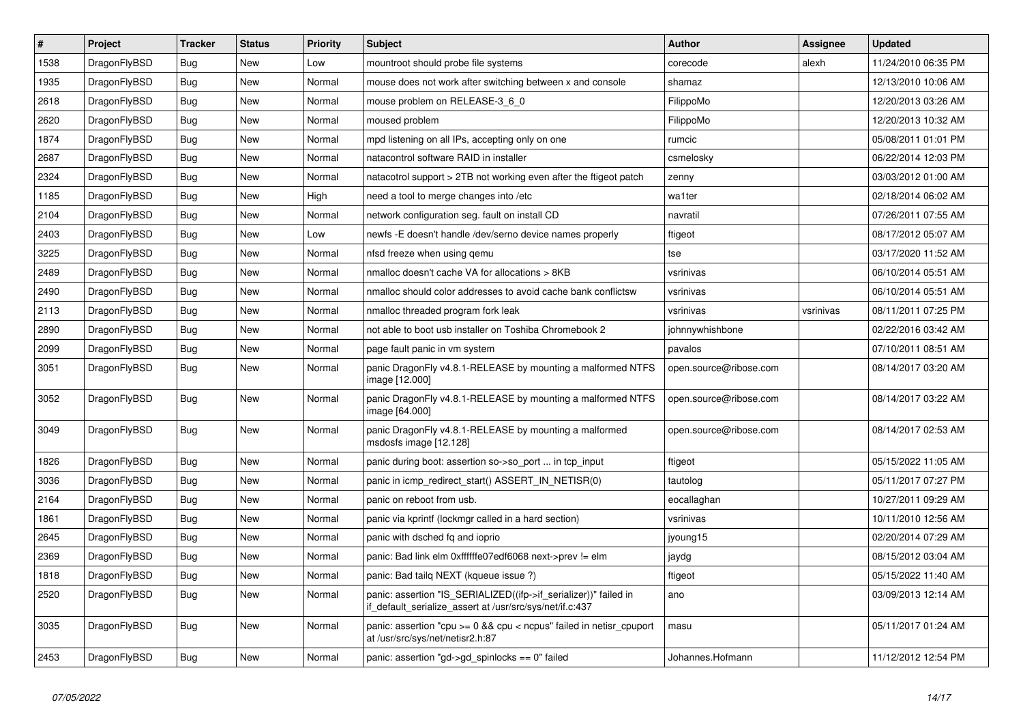| $\vert$ # | <b>Project</b> | <b>Tracker</b> | <b>Status</b> | <b>Priority</b> | <b>Subject</b>                                                                                                               | Author                 | Assignee  | <b>Updated</b>      |
|-----------|----------------|----------------|---------------|-----------------|------------------------------------------------------------------------------------------------------------------------------|------------------------|-----------|---------------------|
| 1538      | DragonFlyBSD   | <b>Bug</b>     | New           | Low             | mountroot should probe file systems                                                                                          | corecode               | alexh     | 11/24/2010 06:35 PM |
| 1935      | DragonFlyBSD   | Bug            | New           | Normal          | mouse does not work after switching between x and console                                                                    | shamaz                 |           | 12/13/2010 10:06 AM |
| 2618      | DragonFlyBSD   | <b>Bug</b>     | <b>New</b>    | Normal          | mouse problem on RELEASE-3 6 0                                                                                               | FilippoMo              |           | 12/20/2013 03:26 AM |
| 2620      | DragonFlyBSD   | Bug            | New           | Normal          | moused problem                                                                                                               | FilippoMo              |           | 12/20/2013 10:32 AM |
| 1874      | DragonFlyBSD   | <b>Bug</b>     | <b>New</b>    | Normal          | mpd listening on all IPs, accepting only on one                                                                              | rumcic                 |           | 05/08/2011 01:01 PM |
| 2687      | DragonFlyBSD   | <b>Bug</b>     | New           | Normal          | natacontrol software RAID in installer                                                                                       | csmelosky              |           | 06/22/2014 12:03 PM |
| 2324      | DragonFlyBSD   | Bug            | New           | Normal          | natacotrol support > 2TB not working even after the ftigeot patch                                                            | zenny                  |           | 03/03/2012 01:00 AM |
| 1185      | DragonFlyBSD   | <b>Bug</b>     | New           | High            | need a tool to merge changes into /etc                                                                                       | wa1ter                 |           | 02/18/2014 06:02 AM |
| 2104      | DragonFlyBSD   | <b>Bug</b>     | New           | Normal          | network configuration seg. fault on install CD                                                                               | navratil               |           | 07/26/2011 07:55 AM |
| 2403      | DragonFlyBSD   | <b>Bug</b>     | New           | Low             | newfs -E doesn't handle /dev/serno device names properly                                                                     | ftigeot                |           | 08/17/2012 05:07 AM |
| 3225      | DragonFlyBSD   | <b>Bug</b>     | New           | Normal          | nfsd freeze when using gemu                                                                                                  | tse                    |           | 03/17/2020 11:52 AM |
| 2489      | DragonFlyBSD   | Bug            | New           | Normal          | nmalloc doesn't cache VA for allocations > 8KB                                                                               | vsrinivas              |           | 06/10/2014 05:51 AM |
| 2490      | DragonFlyBSD   | Bug            | New           | Normal          | nmalloc should color addresses to avoid cache bank conflictsw                                                                | vsrinivas              |           | 06/10/2014 05:51 AM |
| 2113      | DragonFlyBSD   | <b>Bug</b>     | New           | Normal          | nmalloc threaded program fork leak                                                                                           | vsrinivas              | vsrinivas | 08/11/2011 07:25 PM |
| 2890      | DragonFlyBSD   | <b>Bug</b>     | New           | Normal          | not able to boot usb installer on Toshiba Chromebook 2                                                                       | johnnywhishbone        |           | 02/22/2016 03:42 AM |
| 2099      | DragonFlyBSD   | Bug            | New           | Normal          | page fault panic in ym system                                                                                                | pavalos                |           | 07/10/2011 08:51 AM |
| 3051      | DragonFlyBSD   | <b>Bug</b>     | New           | Normal          | panic DragonFly v4.8.1-RELEASE by mounting a malformed NTFS<br>image [12.000]                                                | open.source@ribose.com |           | 08/14/2017 03:20 AM |
| 3052      | DragonFlyBSD   | <b>Bug</b>     | <b>New</b>    | Normal          | panic DragonFly v4.8.1-RELEASE by mounting a malformed NTFS<br>image [64.000]                                                | open.source@ribose.com |           | 08/14/2017 03:22 AM |
| 3049      | DragonFlyBSD   | <b>Bug</b>     | <b>New</b>    | Normal          | panic DragonFly v4.8.1-RELEASE by mounting a malformed<br>msdosfs image [12.128]                                             | open.source@ribose.com |           | 08/14/2017 02:53 AM |
| 1826      | DragonFlyBSD   | <b>Bug</b>     | New           | Normal          | panic during boot: assertion so->so port  in tcp input                                                                       | ftigeot                |           | 05/15/2022 11:05 AM |
| 3036      | DragonFlyBSD   | <b>Bug</b>     | <b>New</b>    | Normal          | panic in icmp_redirect_start() ASSERT_IN_NETISR(0)                                                                           | tautolog               |           | 05/11/2017 07:27 PM |
| 2164      | DragonFlyBSD   | <b>Bug</b>     | <b>New</b>    | Normal          | panic on reboot from usb.                                                                                                    | eocallaghan            |           | 10/27/2011 09:29 AM |
| 1861      | DragonFlyBSD   | Bug            | New           | Normal          | panic via kprintf (lockmgr called in a hard section)                                                                         | vsrinivas              |           | 10/11/2010 12:56 AM |
| 2645      | DragonFlyBSD   | Bug            | New           | Normal          | panic with dsched fq and ioprio                                                                                              | jyoung15               |           | 02/20/2014 07:29 AM |
| 2369      | DragonFlyBSD   | <b>Bug</b>     | <b>New</b>    | Normal          | panic: Bad link elm 0xffffffe07edf6068 next->prev != elm                                                                     | jaydg                  |           | 08/15/2012 03:04 AM |
| 1818      | DragonFlyBSD   | <b>Bug</b>     | <b>New</b>    | Normal          | panic: Bad tailg NEXT (kqueue issue ?)                                                                                       | ftigeot                |           | 05/15/2022 11:40 AM |
| 2520      | DragonFlyBSD   | <b>Bug</b>     | <b>New</b>    | Normal          | panic: assertion "IS_SERIALIZED((ifp->if_serializer))" failed in<br>if default serialize assert at /usr/src/sys/net/if.c:437 | ano                    |           | 03/09/2013 12:14 AM |
| 3035      | DragonFlyBSD   | <b>Bug</b>     | New           | Normal          | panic: assertion "cpu $> = 0$ && cpu < ncpus" failed in netisr cpuport<br>at /usr/src/sys/net/netisr2.h:87                   | masu                   |           | 05/11/2017 01:24 AM |
| 2453      | DragonFlyBSD   | Bug            | New           | Normal          | panic: assertion "gd->gd_spinlocks == 0" failed                                                                              | Johannes.Hofmann       |           | 11/12/2012 12:54 PM |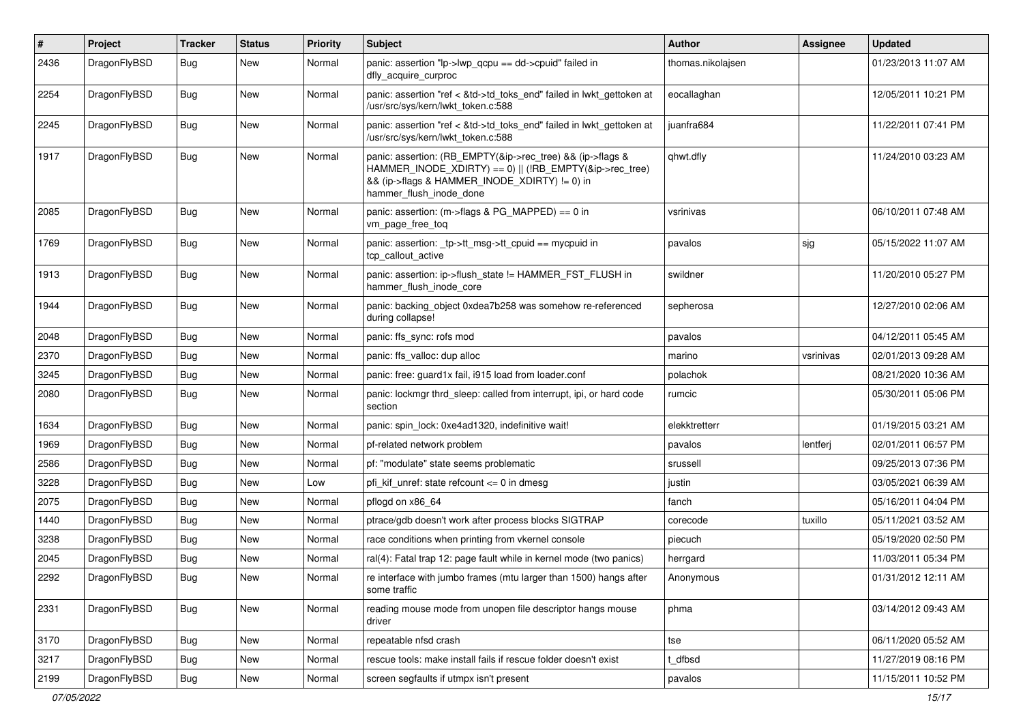| $\pmb{\#}$ | Project      | <b>Tracker</b> | <b>Status</b> | <b>Priority</b> | Subject                                                                                                                                                                                           | Author            | Assignee  | <b>Updated</b>      |
|------------|--------------|----------------|---------------|-----------------|---------------------------------------------------------------------------------------------------------------------------------------------------------------------------------------------------|-------------------|-----------|---------------------|
| 2436       | DragonFlyBSD | Bug            | New           | Normal          | panic: assertion "lp->lwp_qcpu == dd->cpuid" failed in<br>dfly_acquire_curproc                                                                                                                    | thomas.nikolajsen |           | 01/23/2013 11:07 AM |
| 2254       | DragonFlyBSD | <b>Bug</b>     | <b>New</b>    | Normal          | panic: assertion "ref < &td->td_toks_end" failed in lwkt_gettoken at<br>/usr/src/sys/kern/lwkt token.c:588                                                                                        | eocallaghan       |           | 12/05/2011 10:21 PM |
| 2245       | DragonFlyBSD | Bug            | <b>New</b>    | Normal          | panic: assertion "ref < &td->td_toks_end" failed in lwkt_gettoken at<br>/usr/src/sys/kern/lwkt_token.c:588                                                                                        | juanfra684        |           | 11/22/2011 07:41 PM |
| 1917       | DragonFlyBSD | Bug            | New           | Normal          | panic: assertion: (RB_EMPTY(&ip->rec_tree) && (ip->flags &<br>HAMMER_INODE_XDIRTY) == 0)    (!RB_EMPTY(&ip->rec_tree)<br>&& (ip->flags & HAMMER INODE XDIRTY) != 0) in<br>hammer_flush_inode_done | qhwt.dfly         |           | 11/24/2010 03:23 AM |
| 2085       | DragonFlyBSD | Bug            | New           | Normal          | panic: assertion: (m->flags & PG_MAPPED) == 0 in<br>vm_page_free_toq                                                                                                                              | vsrinivas         |           | 06/10/2011 07:48 AM |
| 1769       | DragonFlyBSD | Bug            | <b>New</b>    | Normal          | panic: assertion: _tp->tt_msg->tt_cpuid == mycpuid in<br>tcp callout active                                                                                                                       | pavalos           | sjg       | 05/15/2022 11:07 AM |
| 1913       | DragonFlyBSD | Bug            | <b>New</b>    | Normal          | panic: assertion: ip->flush_state != HAMMER_FST_FLUSH in<br>hammer_flush_inode_core                                                                                                               | swildner          |           | 11/20/2010 05:27 PM |
| 1944       | DragonFlyBSD | Bug            | <b>New</b>    | Normal          | panic: backing object 0xdea7b258 was somehow re-referenced<br>during collapse!                                                                                                                    | sepherosa         |           | 12/27/2010 02:06 AM |
| 2048       | DragonFlyBSD | Bug            | <b>New</b>    | Normal          | panic: ffs_sync: rofs mod                                                                                                                                                                         | pavalos           |           | 04/12/2011 05:45 AM |
| 2370       | DragonFlyBSD | <b>Bug</b>     | New           | Normal          | panic: ffs valloc: dup alloc                                                                                                                                                                      | marino            | vsrinivas | 02/01/2013 09:28 AM |
| 3245       | DragonFlyBSD | Bug            | <b>New</b>    | Normal          | panic: free: quard1x fail, i915 load from loader.conf                                                                                                                                             | polachok          |           | 08/21/2020 10:36 AM |
| 2080       | DragonFlyBSD | Bug            | New           | Normal          | panic: lockmgr thrd sleep: called from interrupt, ipi, or hard code<br>section                                                                                                                    | rumcic            |           | 05/30/2011 05:06 PM |
| 1634       | DragonFlyBSD | <b>Bug</b>     | <b>New</b>    | Normal          | panic: spin lock: 0xe4ad1320, indefinitive wait!                                                                                                                                                  | elekktretterr     |           | 01/19/2015 03:21 AM |
| 1969       | DragonFlyBSD | <b>Bug</b>     | New           | Normal          | pf-related network problem                                                                                                                                                                        | pavalos           | lentferj  | 02/01/2011 06:57 PM |
| 2586       | DragonFlyBSD | Bug            | <b>New</b>    | Normal          | pf: "modulate" state seems problematic                                                                                                                                                            | srussell          |           | 09/25/2013 07:36 PM |
| 3228       | DragonFlyBSD | <b>Bug</b>     | <b>New</b>    | Low             | pfi kif unref: state refcount $\leq 0$ in dmesg                                                                                                                                                   | justin            |           | 03/05/2021 06:39 AM |
| 2075       | DragonFlyBSD | <b>Bug</b>     | New           | Normal          | pflogd on x86 64                                                                                                                                                                                  | fanch             |           | 05/16/2011 04:04 PM |
| 1440       | DragonFlyBSD | Bug            | <b>New</b>    | Normal          | ptrace/gdb doesn't work after process blocks SIGTRAP                                                                                                                                              | corecode          | tuxillo   | 05/11/2021 03:52 AM |
| 3238       | DragonFlyBSD | <b>Bug</b>     | New           | Normal          | race conditions when printing from vkernel console                                                                                                                                                | piecuch           |           | 05/19/2020 02:50 PM |
| 2045       | DragonFlyBSD | Bug            | <b>New</b>    | Normal          | ral(4): Fatal trap 12: page fault while in kernel mode (two panics)                                                                                                                               | herrgard          |           | 11/03/2011 05:34 PM |
| 2292       | DragonFlyBSD | Bug            | New           | Normal          | re interface with jumbo frames (mtu larger than 1500) hangs after<br>some traffic                                                                                                                 | Anonymous         |           | 01/31/2012 12:11 AM |
| 2331       | DragonFlyBSD | <b>Bug</b>     | New           | Normal          | reading mouse mode from unopen file descriptor hangs mouse<br>driver                                                                                                                              | phma              |           | 03/14/2012 09:43 AM |
| 3170       | DragonFlyBSD | <b>Bug</b>     | New           | Normal          | repeatable nfsd crash                                                                                                                                                                             | tse               |           | 06/11/2020 05:52 AM |
| 3217       | DragonFlyBSD | Bug            | <b>New</b>    | Normal          | rescue tools: make install fails if rescue folder doesn't exist                                                                                                                                   | t_dfbsd           |           | 11/27/2019 08:16 PM |
| 2199       | DragonFlyBSD | <b>Bug</b>     | New           | Normal          | screen segfaults if utmpx isn't present                                                                                                                                                           | pavalos           |           | 11/15/2011 10:52 PM |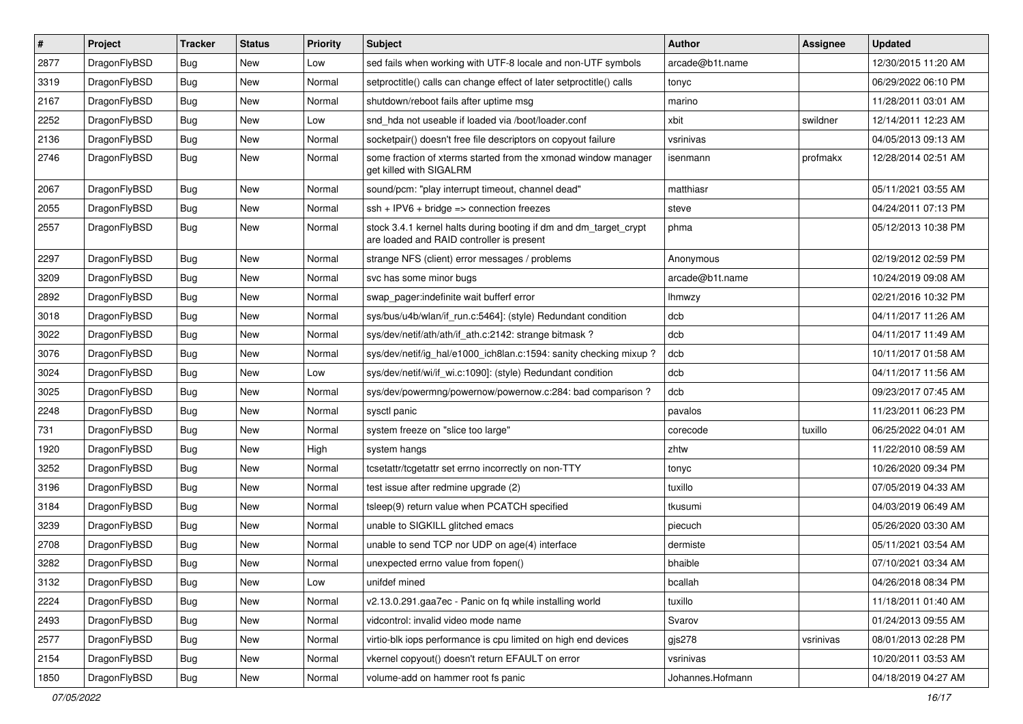| $\sharp$ | Project      | <b>Tracker</b> | <b>Status</b> | <b>Priority</b> | Subject                                                                                                        | <b>Author</b>    | <b>Assignee</b> | <b>Updated</b>      |
|----------|--------------|----------------|---------------|-----------------|----------------------------------------------------------------------------------------------------------------|------------------|-----------------|---------------------|
| 2877     | DragonFlyBSD | Bug            | New           | Low             | sed fails when working with UTF-8 locale and non-UTF symbols                                                   | arcade@b1t.name  |                 | 12/30/2015 11:20 AM |
| 3319     | DragonFlyBSD | Bug            | <b>New</b>    | Normal          | setproctitle() calls can change effect of later setproctitle() calls                                           | tonyc            |                 | 06/29/2022 06:10 PM |
| 2167     | DragonFlyBSD | <b>Bug</b>     | <b>New</b>    | Normal          | shutdown/reboot fails after uptime msq                                                                         | marino           |                 | 11/28/2011 03:01 AM |
| 2252     | DragonFlyBSD | <b>Bug</b>     | New           | Low             | snd hda not useable if loaded via /boot/loader.conf                                                            | xbit             | swildner        | 12/14/2011 12:23 AM |
| 2136     | DragonFlyBSD | Bug            | <b>New</b>    | Normal          | socketpair() doesn't free file descriptors on copyout failure                                                  | vsrinivas        |                 | 04/05/2013 09:13 AM |
| 2746     | DragonFlyBSD | <b>Bug</b>     | New           | Normal          | some fraction of xterms started from the xmonad window manager<br>get killed with SIGALRM                      | isenmann         | profmakx        | 12/28/2014 02:51 AM |
| 2067     | DragonFlyBSD | Bug            | <b>New</b>    | Normal          | sound/pcm: "play interrupt timeout, channel dead"                                                              | matthiasr        |                 | 05/11/2021 03:55 AM |
| 2055     | DragonFlyBSD | <b>Bug</b>     | <b>New</b>    | Normal          | ssh + IPV6 + bridge => connection freezes                                                                      | steve            |                 | 04/24/2011 07:13 PM |
| 2557     | DragonFlyBSD | <b>Bug</b>     | New           | Normal          | stock 3.4.1 kernel halts during booting if dm and dm_target_crypt<br>are loaded and RAID controller is present | phma             |                 | 05/12/2013 10:38 PM |
| 2297     | DragonFlyBSD | <b>Bug</b>     | <b>New</b>    | Normal          | strange NFS (client) error messages / problems                                                                 | Anonymous        |                 | 02/19/2012 02:59 PM |
| 3209     | DragonFlyBSD | Bug            | New           | Normal          | svc has some minor bugs                                                                                        | arcade@b1t.name  |                 | 10/24/2019 09:08 AM |
| 2892     | DragonFlyBSD | <b>Bug</b>     | New           | Normal          | swap pager:indefinite wait bufferf error                                                                       | Ihmwzy           |                 | 02/21/2016 10:32 PM |
| 3018     | DragonFlyBSD | <b>Bug</b>     | <b>New</b>    | Normal          | sys/bus/u4b/wlan/if_run.c:5464]: (style) Redundant condition                                                   | dcb              |                 | 04/11/2017 11:26 AM |
| 3022     | DragonFlyBSD | <b>Bug</b>     | New           | Normal          | sys/dev/netif/ath/ath/if ath.c:2142: strange bitmask?                                                          | dcb              |                 | 04/11/2017 11:49 AM |
| 3076     | DragonFlyBSD | <b>Bug</b>     | New           | Normal          | sys/dev/netif/ig_hal/e1000_ich8lan.c:1594: sanity checking mixup?                                              | dcb              |                 | 10/11/2017 01:58 AM |
| 3024     | DragonFlyBSD | Bug            | New           | Low             | sys/dev/netif/wi/if_wi.c:1090]: (style) Redundant condition                                                    | dcb              |                 | 04/11/2017 11:56 AM |
| 3025     | DragonFlyBSD | <b>Bug</b>     | New           | Normal          | sys/dev/powermng/powernow/powernow.c:284: bad comparison ?                                                     | dcb              |                 | 09/23/2017 07:45 AM |
| 2248     | DragonFlyBSD | Bug            | New           | Normal          | sysctl panic                                                                                                   | pavalos          |                 | 11/23/2011 06:23 PM |
| 731      | DragonFlyBSD | Bug            | <b>New</b>    | Normal          | system freeze on "slice too large"                                                                             | corecode         | tuxillo         | 06/25/2022 04:01 AM |
| 1920     | DragonFlyBSD | Bug            | <b>New</b>    | High            | system hangs                                                                                                   | zhtw             |                 | 11/22/2010 08:59 AM |
| 3252     | DragonFlyBSD | Bug            | New           | Normal          | tcsetattr/tcgetattr set errno incorrectly on non-TTY                                                           | tonyc            |                 | 10/26/2020 09:34 PM |
| 3196     | DragonFlyBSD | <b>Bug</b>     | <b>New</b>    | Normal          | test issue after redmine upgrade (2)                                                                           | tuxillo          |                 | 07/05/2019 04:33 AM |
| 3184     | DragonFlyBSD | Bug            | New           | Normal          | tsleep(9) return value when PCATCH specified                                                                   | tkusumi          |                 | 04/03/2019 06:49 AM |
| 3239     | DragonFlyBSD | Bug            | New           | Normal          | unable to SIGKILL glitched emacs                                                                               | piecuch          |                 | 05/26/2020 03:30 AM |
| 2708     | DragonFlyBSD | Bug            | New           | Normal          | unable to send TCP nor UDP on age(4) interface                                                                 | dermiste         |                 | 05/11/2021 03:54 AM |
| 3282     | DragonFlyBSD | Bug            | New           | Normal          | unexpected errno value from fopen()                                                                            | bhaible          |                 | 07/10/2021 03:34 AM |
| 3132     | DragonFlyBSD | Bug            | New           | Low             | unifdef mined                                                                                                  | bcallah          |                 | 04/26/2018 08:34 PM |
| 2224     | DragonFlyBSD | <b>Bug</b>     | <b>New</b>    | Normal          | v2.13.0.291.gaa7ec - Panic on fq while installing world                                                        | tuxillo          |                 | 11/18/2011 01:40 AM |
| 2493     | DragonFlyBSD | <b>Bug</b>     | New           | Normal          | vidcontrol: invalid video mode name                                                                            | Svarov           |                 | 01/24/2013 09:55 AM |
| 2577     | DragonFlyBSD | <b>Bug</b>     | New           | Normal          | virtio-blk iops performance is cpu limited on high end devices                                                 | gjs278           | vsrinivas       | 08/01/2013 02:28 PM |
| 2154     | DragonFlyBSD | <b>Bug</b>     | New           | Normal          | vkernel copyout() doesn't return EFAULT on error                                                               | vsrinivas        |                 | 10/20/2011 03:53 AM |
| 1850     | DragonFlyBSD | <b>Bug</b>     | New           | Normal          | volume-add on hammer root fs panic                                                                             | Johannes.Hofmann |                 | 04/18/2019 04:27 AM |